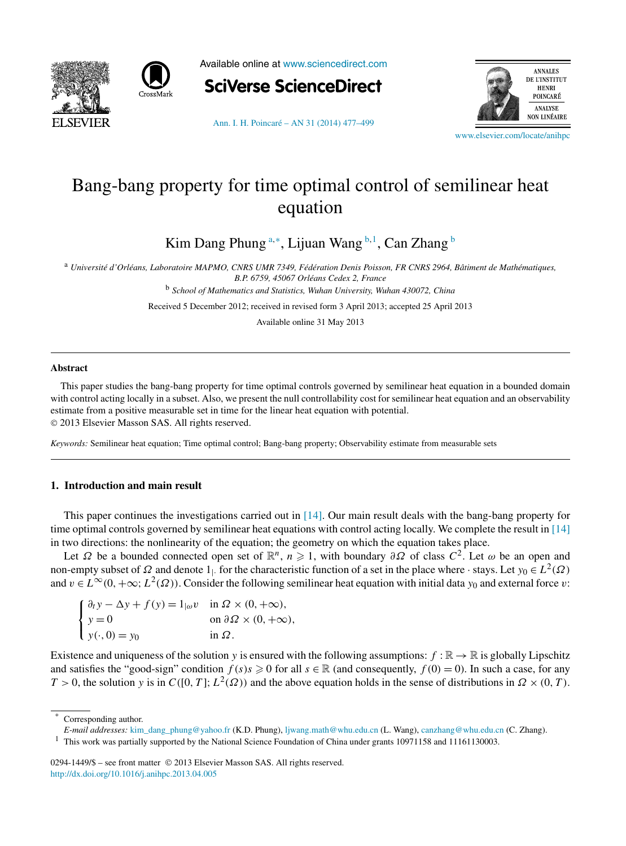



Available online at [www.sciencedirect.com](http://www.sciencedirect.com)



[Ann. I. H. Poincaré – AN 31 \(2014\) 477–499](http://dx.doi.org/10.1016/j.anihpc.2013.04.005)



[www.elsevier.com/locate/anihpc](http://www.elsevier.com/locate/anihpc)

# Bang-bang property for time optimal control of semilinear heat equation

Kim Dang Phung <sup>a,∗</sup>, Lijuan Wang <sup>b, 1</sup>, Can Zhang <sup>b</sup>

<sup>a</sup> *Université d'Orléans, Laboratoire MAPMO, CNRS UMR 7349, Fédération Denis Poisson, FR CNRS 2964, Bâtiment de Mathématiques, B.P. 6759, 45067 Orléans Cedex 2, France*

<sup>b</sup> *School of Mathematics and Statistics, Wuhan University, Wuhan 430072, China*

Received 5 December 2012; received in revised form 3 April 2013; accepted 25 April 2013

Available online 31 May 2013

#### **Abstract**

This paper studies the bang-bang property for time optimal controls governed by semilinear heat equation in a bounded domain with control acting locally in a subset. Also, we present the null controllability cost for semilinear heat equation and an observability estimate from a positive measurable set in time for the linear heat equation with potential. © 2013 Elsevier Masson SAS. All rights reserved.

*Keywords:* Semilinear heat equation; Time optimal control; Bang-bang property; Observability estimate from measurable sets

## **1. Introduction and main result**

This paper continues the investigations carried out in [\[14\].](#page-21-0) Our main result deals with the bang-bang property for time optimal controls governed by semilinear heat equations with control acting locally. We complete the result in [\[14\]](#page-21-0) in two directions: the nonlinearity of the equation; the geometry on which the equation takes place.

Let  $\Omega$  be a bounded connected open set of  $\mathbb{R}^n$ ,  $n \geq 1$ , with boundary  $\partial \Omega$  of class  $C^2$ . Let  $\omega$  be an open and non-empty subset of  $Ω$  and denote  $1$ <sub>|</sub>. for the characteristic function of a set in the place where · stays. Let *y*<sub>0</sub>  $\in L^2(Ω)$ and  $v \in L^{\infty}(0, +\infty; L^2(\Omega))$ . Consider the following semilinear heat equation with initial data  $y_0$  and external force *v*:

| $\int \partial_t y - \Delta y + f(y) = 1_{ \omega} v \text{ in } \Omega \times (0, +\infty),$ |                                            |
|-----------------------------------------------------------------------------------------------|--------------------------------------------|
| $\begin{cases} y = 0 \\ y(\cdot, 0) = y_0 \end{cases}$                                        | on $\partial \Omega \times (0, +\infty)$ , |
|                                                                                               | in $\Omega$ .                              |

Existence and uniqueness of the solution *y* is ensured with the following assumptions:  $f : \mathbb{R} \to \mathbb{R}$  is globally Lipschitz and satisfies the "good-sign" condition  $f(s)s \ge 0$  for all  $s \in \mathbb{R}$  (and consequently,  $f(0) = 0$ ). In such a case, for any  $T > 0$ , the solution *y* is in  $C([0, T]; L^2(\Omega))$  and the above equation holds in the sense of distributions in  $\Omega \times (0, T)$ .

Corresponding author.

*E-mail addresses:* [kim\\_dang\\_phung@yahoo.fr](mailto:kim_dang_phung@yahoo.fr) (K.D. Phung), [ljwang.math@whu.edu.cn](mailto:ljwang.math@whu.edu.cn) (L. Wang), [canzhang@whu.edu.cn](mailto:canzhang@whu.edu.cn) (C. Zhang).

0294-1449/\$ – see front matter © 2013 Elsevier Masson SAS. All rights reserved. <http://dx.doi.org/10.1016/j.anihpc.2013.04.005>

<sup>1</sup> This work was partially supported by the National Science Foundation of China under grants 10971158 and 11161130003.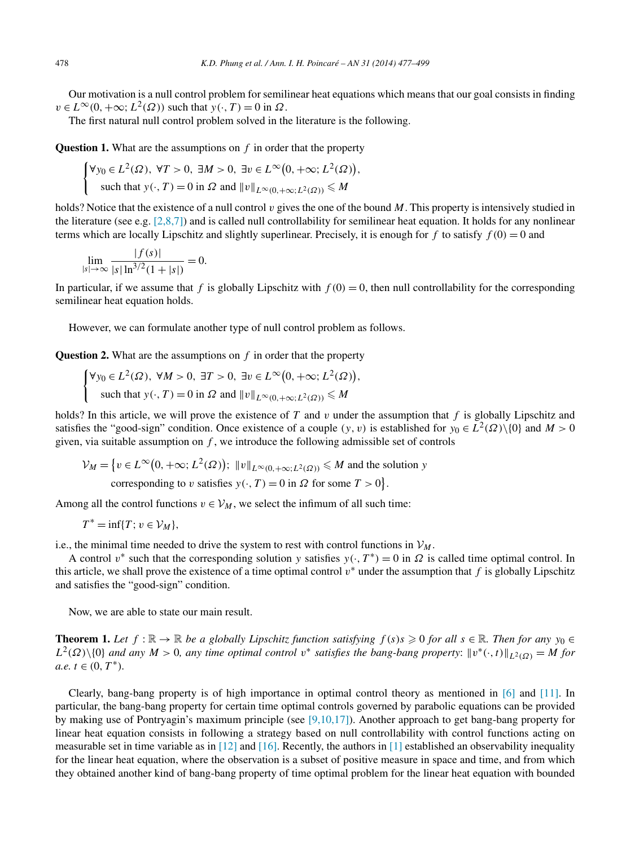<span id="page-1-0"></span>Our motivation is a null control problem for semilinear heat equations which means that our goal consists in finding  $v \in L^{\infty}(0, +\infty; L^2(\Omega))$  such that  $y(\cdot, T) = 0$  in  $\Omega$ .

The first natural null control problem solved in the literature is the following.

**Question 1.** What are the assumptions on *f* in order that the property

$$
\begin{cases} \forall y_0 \in L^2(\Omega), \ \forall T > 0, \ \exists M > 0, \ \exists v \in L^\infty\big(0, +\infty; L^2(\Omega)\big), \\ \text{such that } y(\cdot, T) = 0 \text{ in } \Omega \text{ and } ||v||_{L^\infty(0, +\infty; L^2(\Omega))} \le M \end{cases}
$$

holds? Notice that the existence of a null control *v* gives the one of the bound *M*. This property is intensively studied in the literature (see e.g.  $[2,8,7]$ ) and is called null controllability for semilinear heat equation. It holds for any nonlinear terms which are locally Lipschitz and slightly superlinear. Precisely, it is enough for *f* to satisfy  $f(0) = 0$  and

$$
\lim_{|s| \to \infty} \frac{|f(s)|}{|s| \ln^{3/2} (1+|s|)} = 0.
$$

In particular, if we assume that  $f$  is globally Lipschitz with  $f(0) = 0$ , then null controllability for the corresponding semilinear heat equation holds.

However, we can formulate another type of null control problem as follows.

**Question 2.** What are the assumptions on *f* in order that the property

$$
\begin{cases} \forall y_0 \in L^2(\Omega), \ \forall M > 0, \ \exists T > 0, \ \exists v \in L^\infty\big(0, +\infty; L^2(\Omega)\big), \\ \text{such that } y(\cdot, T) = 0 \text{ in } \Omega \text{ and } ||v||_{L^\infty(0, +\infty; L^2(\Omega))} \le M \end{cases}
$$

holds? In this article, we will prove the existence of *T* and *v* under the assumption that *f* is globally Lipschitz and satisfies the "good-sign" condition. Once existence of a couple  $(y, v)$  is established for  $y_0 \in L^2(\Omega) \setminus \{0\}$  and  $M > 0$ given, via suitable assumption on *f* , we introduce the following admissible set of controls

 $V_M = \{ v \in L^\infty(0, +\infty; L^2(\Omega)) ; ||v||_{L^\infty(0, +\infty; L^2(\Omega))} \leq M \text{ and the solution } y$ 

corresponding to *v* satisfies  $y(\cdot, T) = 0$  in  $\Omega$  for some  $T > 0$ .

Among all the control functions  $v \in V_M$ , we select the infimum of all such time:

$$
T^* = \inf\{T; v \in \mathcal{V}_M\},\
$$

i.e., the minimal time needed to drive the system to rest with control functions in  $V_M$ .

A control  $v^*$  such that the corresponding solution *y* satisfies  $y(\cdot, T^*) = 0$  in  $\Omega$  is called time optimal control. In this article, we shall prove the existence of a time optimal control  $v^*$  under the assumption that  $f$  is globally Lipschitz and satisfies the "good-sign" condition.

Now, we are able to state our main result.

**Theorem 1.** Let  $f : \mathbb{R} \to \mathbb{R}$  be a globally Lipschitz function satisfying  $f(s)s \geq 0$  for all  $s \in \mathbb{R}$ . Then for any  $y_0 \in \mathbb{R}$  $L^2(\Omega)\setminus\{0\}$  *and any*  $M > 0$ *, any time optimal control*  $v^*$  *satisfies the bang-bang property:*  $||v^*(\cdot,t)||_{L^2(\Omega)} = M$  *for*  $a.e. t \in (0, T^*)$ .

Clearly, bang-bang property is of high importance in optimal control theory as mentioned in [\[6\]](#page-21-0) and [\[11\].](#page-21-0) In particular, the bang-bang property for certain time optimal controls governed by parabolic equations can be provided by making use of Pontryagin's maximum principle (see [\[9,10,17\]\)](#page-21-0). Another approach to get bang-bang property for linear heat equation consists in following a strategy based on null controllability with control functions acting on measurable set in time variable as in  $[12]$  and  $[16]$ . Recently, the authors in  $[1]$  established an observability inequality for the linear heat equation, where the observation is a subset of positive measure in space and time, and from which they obtained another kind of bang-bang property of time optimal problem for the linear heat equation with bounded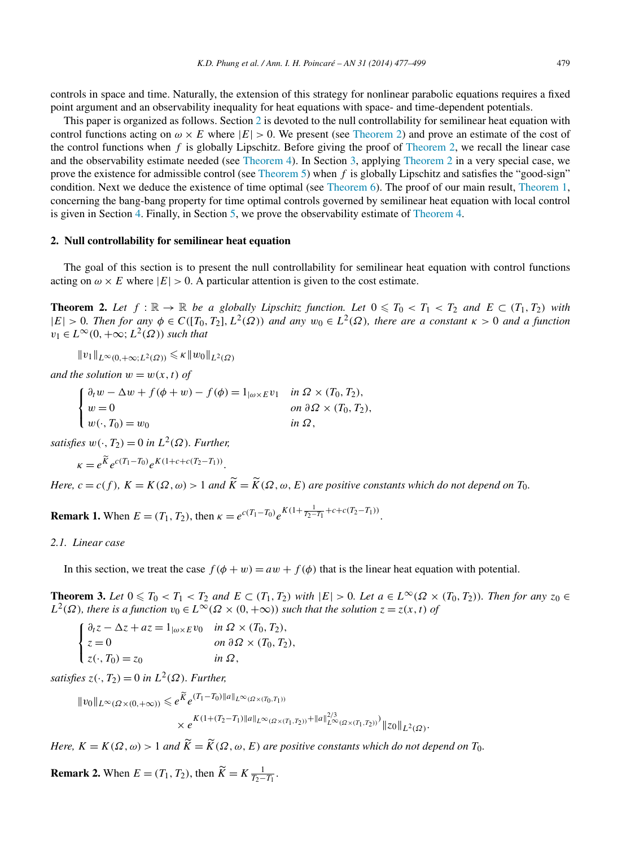<span id="page-2-0"></span>controls in space and time. Naturally, the extension of this strategy for nonlinear parabolic equations requires a fixed point argument and an observability inequality for heat equations with space- and time-dependent potentials.

This paper is organized as follows. Section 2 is devoted to the null controllability for semilinear heat equation with control functions acting on  $\omega \times E$  where  $|E| > 0$ . We present (see Theorem 2) and prove an estimate of the cost of the control functions when  $f$  is globally Lipschitz. Before giving the proof of Theorem 2, we recall the linear case and the observability estimate needed (see [Theorem 4\)](#page-3-0). In Section [3,](#page-6-0) applying Theorem 2 in a very special case, we prove the existence for admissible control (see [Theorem 5\)](#page-6-0) when *f* is globally Lipschitz and satisfies the "good-sign" condition. Next we deduce the existence of time optimal (see [Theorem 6\)](#page-7-0). The proof of our main result, [Theorem 1,](#page-1-0) concerning the bang-bang property for time optimal controls governed by semilinear heat equation with local control is given in Section [4.](#page-8-0) Finally, in Section [5,](#page-9-0) we prove the observability estimate of [Theorem 4.](#page-3-0)

## **2. Null controllability for semilinear heat equation**

The goal of this section is to present the null controllability for semilinear heat equation with control functions acting on  $\omega \times E$  where  $|E| > 0$ . A particular attention is given to the cost estimate.

**Theorem 2.** Let  $f : \mathbb{R} \to \mathbb{R}$  be a globally Lipschitz function. Let  $0 \leq T_0 < T_1 < T_2$  and  $E \subset (T_1, T_2)$  with  $|E| > 0$ *. Then for any*  $\phi \in C([T_0, T_2], L^2(\Omega))$  *and any*  $w_0 \in L^2(\Omega)$ *, there are a constant*  $\kappa > 0$  *and a function*  $v_1 \in L^\infty(0, +\infty; L^2(\Omega))$  *such that* 

$$
||v_1||_{L^{\infty}(0,+\infty;L^2(\Omega))} \leq \kappa ||w_0||_{L^2(\Omega)}
$$

*and the solution*  $w = w(x, t)$  *of* 

 $\mathbf{f}$  $\mathbf{I}$  $\mathbf{I}$  $\partial_t w - \Delta w + f(\phi + w) - f(\phi) = 1_{|\omega \times E} v_1$  *in*  $\Omega \times (T_0, T_2)$ ,  $w = 0$  *on*  $\partial \Omega \times (T_0, T_2)$ ,  $w(\cdot, T_0) = w_0$  *in*  $\Omega$ ,

*satisfies*  $w(\cdot, T_2) = 0$  *in*  $L^2(\Omega)$ *. Further,* 

$$
\kappa = e^{\widetilde{K}} e^{c(T_1 - T_0)} e^{K(1 + c + c(T_2 - T_1))}.
$$

*Here,*  $c = c(f)$ ,  $K = K(\Omega, \omega) > 1$  and  $\tilde{K} = \tilde{K}(\Omega, \omega, E)$  are positive constants which do not depend on  $T_0$ .

**Remark 1.** When  $E = (T_1, T_2)$ , then  $\kappa = e^{c(T_1 - T_0)} e^{K(1 + \frac{1}{T_2 - T_1} + c + c(T_2 - T_1))}$ .

## *2.1. Linear case*

In this section, we treat the case  $f(\phi + w) = aw + f(\phi)$  that is the linear heat equation with potential.

**Theorem 3.** Let  $0 \le T_0 < T_1 < T_2$  and  $E \subset (T_1, T_2)$  with  $|E| > 0$ . Let  $a \in L^{\infty}(\Omega \times (T_0, T_2))$ . Then for any  $z_0 \in$  $L^2(\Omega)$ *, there is a function*  $v_0 \in L^\infty(\Omega \times (0, +\infty))$  *such that the solution*  $z = z(x, t)$  *of* 

 $\mathbf{f}$  $\mathbf{I}$  $\mathbf l$  $\partial_t z - \Delta z + az = 1_{|\omega \times E} v_0$  *in*  $\Omega \times (T_0, T_2)$ ,  $z = 0$  *on*  $\partial \Omega \times (T_0, T_2)$ ,  $z(\cdot, T_0) = z_0$  *in*  $\Omega$ ,

*satisfies*  $z(\cdot, T_2) = 0$  *in*  $L^2(\Omega)$ *. Further,* 

 $\Vert v_0 \Vert_{L^{\infty}(\Omega \times (0, +\infty))} \leq e^{\widetilde{K}} e^{(T_1 - T_0) \Vert a \Vert_{L^{\infty}(\Omega \times (T_0, T_1))}}$  $\times e^{K(1+(T_2-T_1)\|a\|_{L^{\infty}(\Omega \times (T_1,T_2))}+\|a\|_{L^{\infty}(\Omega \times (T_1,T_2))}^{2/3})} \|z_0\|_{L^2(\Omega)}.$ 

*Here,*  $K = K(\Omega, \omega) > 1$  and  $\tilde{K} = \tilde{K}(\Omega, \omega, E)$  are positive constants which do not depend on  $T_0$ .

**Remark 2.** When  $E = (T_1, T_2)$ , then  $\widetilde{K} = K \frac{1}{T_2 - T_1}$ .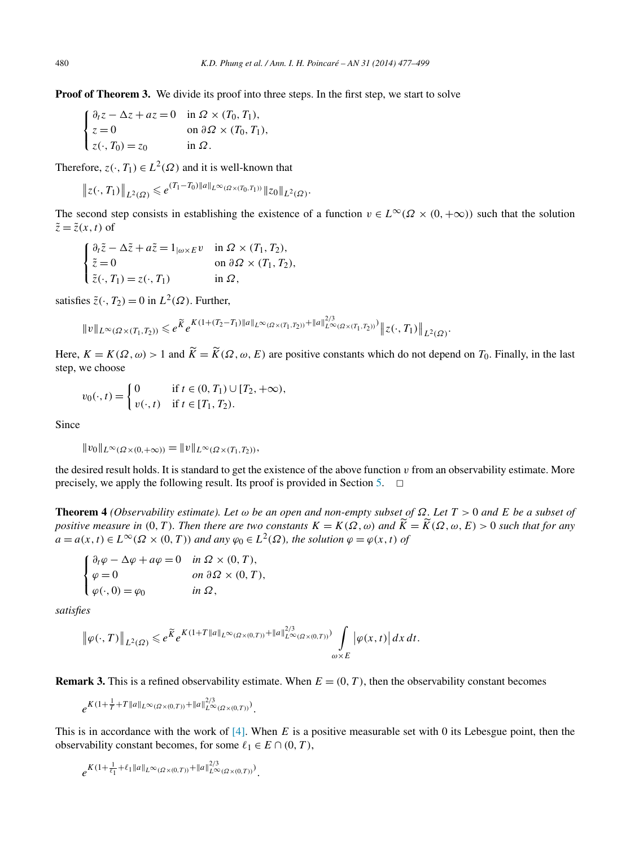<span id="page-3-0"></span>**Proof of Theorem 3.** We divide its proof into three steps. In the first step, we start to solve

$$
\begin{cases} \n\partial_t z - \Delta z + az = 0 & \text{in } \Omega \times (T_0, T_1), \\ \nz = 0 & \text{on } \partial \Omega \times (T_0, T_1), \\ \nz(\cdot, T_0) = z_0 & \text{in } \Omega. \n\end{cases}
$$

Therefore,  $z(\cdot, T_1) \in L^2(\Omega)$  and it is well-known that

$$
\|z(\cdot,T_1)\|_{L^2(\Omega)} \leqslant e^{(T_1-T_0)\|a\|_{L^{\infty}(\Omega \times (T_0,T_1))}}\|z_0\|_{L^2(\Omega)}.
$$

The second step consists in establishing the existence of a function  $v \in L^{\infty}(\Omega \times (0, +\infty))$  such that the solution  $\tilde{z} = \tilde{z}(x, t)$  of

$$
\begin{cases} \partial_t \tilde{z} - \Delta \tilde{z} + a \tilde{z} = 1_{|\omega \times E} v & \text{in } \Omega \times (T_1, T_2), \\ \tilde{z} = 0 & \text{on } \partial \Omega \times (T_1, T_2), \\ \tilde{z}(\cdot, T_1) = z(\cdot, T_1) & \text{in } \Omega, \end{cases}
$$

satisfies  $\tilde{z}(\cdot, T_2) = 0$  in  $L^2(\Omega)$ . Further,

$$
||v||_{L^{\infty}(\Omega\times(T_1,T_2))} \leq e^{\widetilde{K}}e^{K(1+(T_2-T_1)||a||_{L^{\infty}(\Omega\times(T_1,T_2))}+||a||_{L^{\infty}(\Omega\times(T_1,T_2))}^{2/3})}||z(\cdot,T_1)||_{L^2(\Omega)}.
$$

Here,  $K = K(\Omega, \omega) > 1$  and  $\tilde{K} = \tilde{K}(\Omega, \omega, E)$  are positive constants which do not depend on  $T_0$ . Finally, in the last step, we choose

$$
v_0(\cdot, t) = \begin{cases} 0 & \text{if } t \in (0, T_1) \cup [T_2, +\infty), \\ v(\cdot, t) & \text{if } t \in [T_1, T_2). \end{cases}
$$

Since

$$
||v_0||_{L^{\infty}(\Omega\times(0,+\infty))} = ||v||_{L^{\infty}(\Omega\times(T_1,T_2))},
$$

the desired result holds. It is standard to get the existence of the above function  $v$  from an observability estimate. More precisely, we apply the following result. Its proof is provided in Section [5.](#page-9-0)  $\Box$ 

**Theorem 4** *(Observability estimate). Let ω be an open and non-empty subset of Ω. Let T >* 0 *and E be a subset of positive measure in*  $(0, T)$ *. Then there are two constants*  $K = K(\Omega, \omega)$  *and*  $\tilde{K} = \tilde{K}(\Omega, \omega, E) > 0$  *such that for any a* = *a*(*x, t*) ∈ *L*<sup>∞</sup>( $\Omega$  × (0*,T*)) *and any*  $\varphi_0$  ∈ *L*<sup>2</sup>( $\Omega$ )*, the solution*  $\varphi = \varphi(x, t)$  *of* 

$$
\begin{cases} \n\partial_t \varphi - \Delta \varphi + a\varphi = 0 & \text{in } \Omega \times (0, T), \\ \n\varphi = 0 & \text{on } \partial \Omega \times (0, T), \\ \n\varphi(\cdot, 0) = \varphi_0 & \text{in } \Omega, \n\end{cases}
$$

*satisfies*

$$
\left\|\varphi(\cdot,T)\right\|_{L^2(\Omega)} \leqslant e^{\widetilde{K}}e^{K(1+T\|a\|_{L^{\infty}(\Omega\times(0,T))}+\|a\|_{L^{\infty}(\Omega\times(0,T))}^{2/3})}\int\limits_{\omega\times E}\left|\varphi(x,t)\right|dx\,dt.
$$

**Remark 3.** This is a refined observability estimate. When  $E = (0, T)$ , then the observability constant becomes

$$
e^{K(1+\frac{1}{T}+T\|a\|_{L^{\infty}(\Omega\times(0,T))}+\|a\|_{L^{\infty}(\Omega\times(0,T))}^{2/3})}.
$$

This is in accordance with the work of [\[4\].](#page-21-0) When *E* is a positive measurable set with 0 its Lebesgue point, then the observability constant becomes, for some  $\ell_1 \in E \cap (0, T)$ ,

$$
e^{K(1+\frac{1}{\ell_1}+\ell_1\|a\|_{L^{\infty}(\Omega\times(0,T))}+\|a\|_{L^{\infty}(\Omega\times(0,T))}^{2/3})}.
$$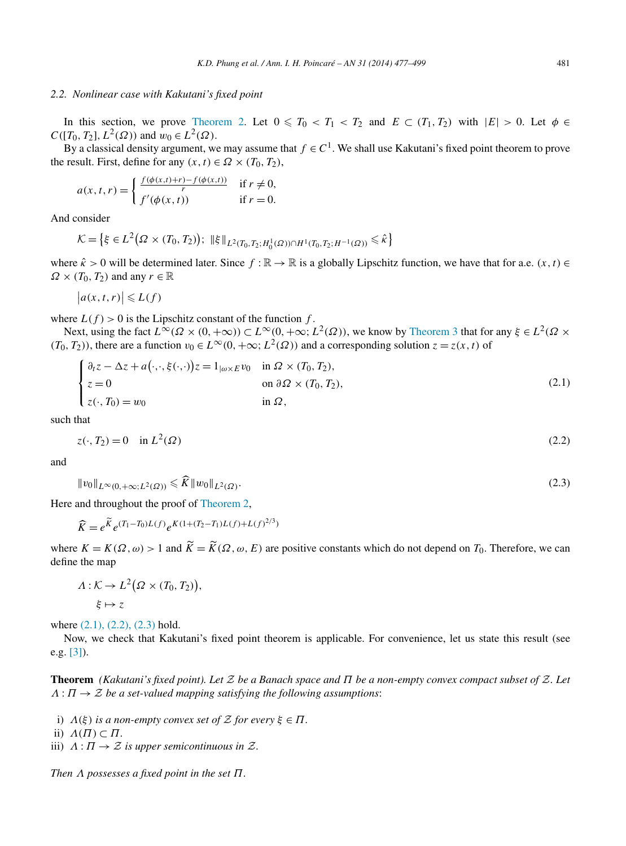#### <span id="page-4-0"></span>*2.2. Nonlinear case with Kakutani's fixed point*

In this section, we prove [Theorem 2.](#page-2-0) Let  $0 \leq T_0 < T_1 < T_2$  and  $E \subset (T_1, T_2)$  with  $|E| > 0$ . Let  $\phi \in$ *C*( $[T_0, T_2]$ ,  $L^2(\Omega)$ ) and  $w_0 \in L^2(\Omega)$ .

By a classical density argument, we may assume that  $f \in C^1$ . We shall use Kakutani's fixed point theorem to prove the result. First, define for any  $(x, t) \in \Omega \times (T_0, T_2)$ ,

$$
a(x, t, r) = \begin{cases} \frac{f(\phi(x, t) + r) - f(\phi(x, t))}{r} & \text{if } r \neq 0, \\ f'(\phi(x, t)) & \text{if } r = 0. \end{cases}
$$

And consider

$$
\mathcal{K} = \left\{ \xi \in L^2(\Omega \times (T_0, T_2)) ; \ \|\xi\|_{L^2(T_0, T_2; H_0^1(\Omega)) \cap H^1(T_0, T_2; H^{-1}(\Omega))} \leq \hat{\kappa} \right\}
$$

where  $\hat{k} > 0$  will be determined later. Since  $f : \mathbb{R} \to \mathbb{R}$  is a globally Lipschitz function, we have that for a.e.  $(x, t) \in$  $\Omega \times (T_0, T_2)$  and any  $r \in \mathbb{R}$ 

 $|a(x,t,r)| \le L(f)$ 

where  $L(f) > 0$  is the Lipschitz constant of the function  $f$ .

Next, using the fact  $L^{\infty}(\Omega \times (0, +\infty)) \subset L^{\infty}(0, +\infty; L^2(\Omega))$ , we know by [Theorem 3](#page-2-0) that for any  $\xi \in L^2(\Omega \times$  $(T_0, T_2)$ ), there are a function  $v_0 \in L^\infty(0, +\infty; L^2(\Omega))$  and a corresponding solution  $z = z(x, t)$  of

$$
\begin{cases}\n\partial_t z - \Delta z + a(\cdot, \cdot, \xi(\cdot, \cdot))z = 1_{|\omega \times E} v_0 & \text{in } \Omega \times (T_0, T_2), \\
z = 0 & \text{on } \partial \Omega \times (T_0, T_2), \\
z(\cdot, T_0) = w_0 & \text{in } \Omega,\n\end{cases}
$$
\n(2.1)

such that

$$
z(\cdot, T_2) = 0 \quad \text{in } L^2(\Omega) \tag{2.2}
$$

and

$$
||v_0||_{L^{\infty}(0,+\infty;L^2(\Omega))} \leq \widehat{K}||w_0||_{L^2(\Omega)}.
$$
\n(2.3)

Here and throughout the proof of [Theorem](#page-2-0) 2,

$$
\widehat{K} = e^{\widetilde{K}} e^{(T_1 - T_0)L(f)} e^{K(1 + (T_2 - T_1)L(f) + L(f)^{2/3})}
$$

where  $K = K(\Omega, \omega) > 1$  and  $\tilde{K} = \tilde{K}(\Omega, \omega, E)$  are positive constants which do not depend on  $T_0$ . Therefore, we can define the map

$$
\Lambda: \mathcal{K} \to L^2(\Omega \times (T_0, T_2)),
$$
  

$$
\xi \mapsto z
$$

where  $(2.1)$ ,  $(2.2)$ ,  $(2.3)$  hold.

Now, we check that Kakutani's fixed point theorem is applicable. For convenience, let us state this result (see e.g. [\[3\]\)](#page-21-0).

**Theorem** *(Kakutani's fixed point). Let* Z *be a Banach space and Π be a non-empty convex compact subset of* Z*. Let*  $\Lambda : \Pi \to \mathcal{Z}$  *be a set-valued mapping satisfying the following assumptions:* 

- *i*) *Λ*(*ξ*) *is a non-empty convex set of*  $Z$  *for every*  $ξ ∈ Π$ *.*
- ii)  $\Lambda(\Pi) \subset \Pi$ .
- iii)  $\Lambda: \Pi \to \mathcal{Z}$  *is upper semicontinuous in*  $\mathcal{Z}$ *.*

*Then Λ possesses a fixed point in the set Π.*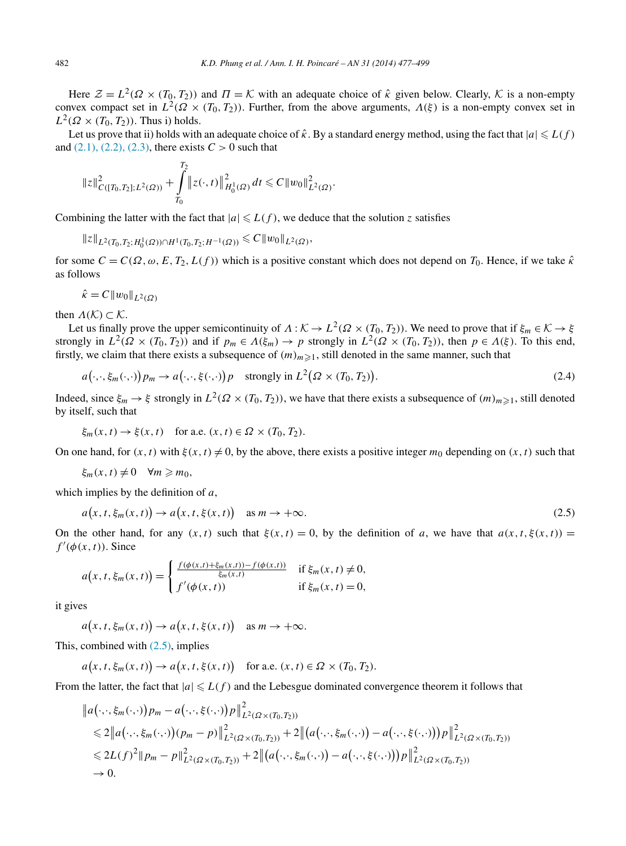<span id="page-5-0"></span>Here  $\mathcal{Z} = L^2(\Omega \times (T_0, T_2))$  and  $\Pi = \mathcal{K}$  with an adequate choice of  $\hat{\kappa}$  given below. Clearly,  $\mathcal{K}$  is a non-empty convex compact set in  $L^2(\Omega \times (T_0, T_2))$ . Further, from the above arguments,  $\Lambda(\xi)$  is a non-empty convex set in  $L^2(\Omega \times (T_0, T_2))$ . Thus i) holds.

Let us prove that ii) holds with an adequate choice of  $\hat{\kappa}$ . By a standard energy method, using the fact that  $|a| \le L(f)$ and  $(2.1)$ ,  $(2.2)$ ,  $(2.3)$ , there exists  $C > 0$  such that

$$
||z||_{C([T_0,T_2];L^2(\Omega))}^2 + \int_{T_0}^{T_2} ||z(\cdot,t)||_{H_0^1(\Omega)}^2 dt \leq C ||w_0||_{L^2(\Omega)}^2.
$$

Combining the latter with the fact that  $|a| \le L(f)$ , we deduce that the solution *z* satisfies

$$
||z||_{L^2(T_0,T_2;H_0^1(\varOmega))\cap H^1(T_0,T_2;H^{-1}(\varOmega))}\leq C||w_0||_{L^2(\varOmega)},
$$

*T*<sup>2</sup>

for some  $C = C(\Omega, \omega, E, T_2, L(f))$  which is a positive constant which does not depend on  $T_0$ . Hence, if we take  $\hat{\kappa}$ as follows

$$
\hat{\kappa} = C \|w_0\|_{L^2(\Omega)}
$$

then  $\Lambda(\mathcal{K}) \subset \mathcal{K}$ .

Let us finally prove the upper semicontinuity of  $\Lambda : \mathcal{K} \to L^2(\Omega \times (T_0, T_2))$ . We need to prove that if  $\xi_m \in \mathcal{K} \to \xi$ strongly in  $L^2(\Omega \times (T_0, T_2))$  and if  $p_m \in \Lambda(\xi_m) \to p$  strongly in  $L^2(\Omega \times (T_0, T_2))$ , then  $p \in \Lambda(\xi)$ . To this end, firstly, we claim that there exists a subsequence of  $(m)_{m\geq 1}$ , still denoted in the same manner, such that

$$
a(\cdot,\cdot,\xi_m(\cdot,\cdot))p_m \to a(\cdot,\cdot,\xi(\cdot,\cdot))p \quad \text{strongly in } L^2(\Omega \times (T_0,T_2)).
$$
\n
$$
(2.4)
$$

Indeed, since  $\xi_m \to \xi$  strongly in  $L^2(\Omega \times (T_0, T_2))$ , we have that there exists a subsequence of  $(m)_{m \geq 1}$ , still denoted by itself, such that

$$
\xi_m(x, t) \to \xi(x, t) \quad \text{for a.e. } (x, t) \in \Omega \times (T_0, T_2).
$$

On one hand, for  $(x, t)$  with  $\xi(x, t) \neq 0$ , by the above, there exists a positive integer  $m_0$  depending on  $(x, t)$  such that

$$
\xi_m(x,t)\neq 0 \quad \forall m\geq m_0,
$$

which implies by the definition of *a*,

$$
a(x, t, \xi_m(x, t)) \to a(x, t, \xi(x, t)) \quad \text{as } m \to +\infty.
$$
 (2.5)

On the other hand, for any  $(x, t)$  such that  $\xi(x, t) = 0$ , by the definition of *a*, we have that  $a(x, t, \xi(x, t)) =$  $f'(\phi(x,t))$ . Since

$$
a(x, t, \xi_m(x, t)) = \begin{cases} \frac{f(\phi(x, t) + \xi_m(x, t)) - f(\phi(x, t))}{\xi_m(x, t)} & \text{if } \xi_m(x, t) \neq 0, \\ f'(\phi(x, t)) & \text{if } \xi_m(x, t) = 0, \end{cases}
$$

it gives

 $a(x, t, \xi_m(x, t)) \to a(x, t, \xi(x, t))$  as  $m \to +\infty$ .

This, combined with  $(2.5)$ , implies

$$
a(x, t, \xi_m(x, t)) \to a(x, t, \xi(x, t)) \quad \text{for a.e. } (x, t) \in \Omega \times (T_0, T_2).
$$

From the latter, the fact that  $|a| \le L(f)$  and the Lebesgue dominated convergence theorem it follows that

$$
\|a(\cdot,\cdot,\xi_m(\cdot,\cdot))p_m - a(\cdot,\cdot,\xi(\cdot,\cdot))p\|_{L^2(\Omega \times (T_0,T_2))}^2 \n\leq 2\|a(\cdot,\cdot,\xi_m(\cdot,\cdot))(p_m - p)\|_{L^2(\Omega \times (T_0,T_2))}^2 + 2\|(a(\cdot,\cdot,\xi_m(\cdot,\cdot)) - a(\cdot,\cdot,\xi(\cdot,\cdot)))p\|_{L^2(\Omega \times (T_0,T_2))}^2 \n\leq 2L(f)^2\|p_m - p\|_{L^2(\Omega \times (T_0,T_2))}^2 + 2\|(a(\cdot,\cdot,\xi_m(\cdot,\cdot)) - a(\cdot,\cdot,\xi(\cdot,\cdot)))p\|_{L^2(\Omega \times (T_0,T_2))}^2 \n\to 0.
$$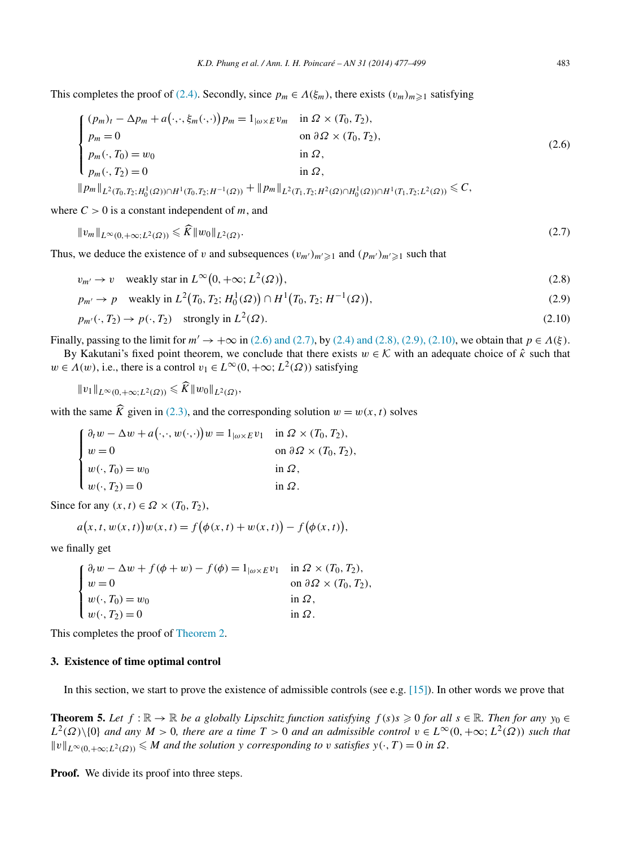<span id="page-6-0"></span>This completes the proof of [\(2.4\).](#page-5-0) Secondly, since  $p_m \in \Lambda(\xi_m)$ , there exists  $(v_m)_{m \geq 1}$  satisfying

$$
\begin{cases}\n(p_m)_t - \Delta p_m + a(\cdot, \cdot, \xi_m(\cdot, \cdot)) p_m = 1_{|\omega \times E} v_m & \text{in } \Omega \times (T_0, T_2), \\
p_m = 0 & \text{on } \partial \Omega \times (T_0, T_2), \\
p_m(\cdot, T_0) = w_0 & \text{in } \Omega, \\
p_m(\cdot, T_2) = 0 & \text{in } \Omega, \\
\|p_m\|_{L^2(T_0, T_2; H_0^1(\Omega)) \cap H^1(T_0, T_2; H^{-1}(\Omega))} + \|p_m\|_{L^2(T_1, T_2; H^2(\Omega) \cap H_0^1(\Omega)) \cap H^1(T_1, T_2; L^2(\Omega))} \leq C,\n\end{cases}
$$
\n(2.6)

where  $C > 0$  is a constant independent of *m*, and

$$
||v_m||_{L^{\infty}(0, +\infty; L^2(\Omega))} \leqslant K ||w_0||_{L^2(\Omega)}.
$$
\n(2.7)

Thus, we deduce the existence of *v* and subsequences  $(v_{m'})_{m'} \ge 1$  and  $(p_{m'})_{m'} \ge 1$  such that

$$
v_{m'} \to v \quad \text{weakly star in } L^{\infty}(0, +\infty; L^{2}(\Omega)), \tag{2.8}
$$

$$
p_{m'} \to p \quad \text{weakly in } L^2(T_0, T_2; H_0^1(\Omega)) \cap H^1(T_0, T_2; H^{-1}(\Omega)), \tag{2.9}
$$

$$
p_{m'}(\cdot, T_2) \to p(\cdot, T_2) \quad \text{strongly in } L^2(\Omega). \tag{2.10}
$$

Finally, passing to the limit for  $m' \to +\infty$  in (2.6) and (2.7), by [\(2.4\) and \(2.8\), \(2.9\), \(2.10\),](#page-5-0) we obtain that  $p \in \Lambda(\xi)$ .

By Kakutani's fixed point theorem, we conclude that there exists  $w \in \mathcal{K}$  with an adequate choice of  $\hat{\kappa}$  such that  $w \in A(w)$ , i.e., there is a control  $v_1 \in L^{\infty}(0, +\infty; L^2(\Omega))$  satisfying

$$
||v_1||_{L^{\infty}(0,+\infty;L^2(\Omega))} \leq \tilde{K}||w_0||_{L^2(\Omega)},
$$

with the same  $\hat{K}$  given in [\(2.3\),](#page-4-0) and the corresponding solution  $w = w(x, t)$  solves

| $\int \partial_t w - \Delta w + a(\cdot, \cdot, w(\cdot, \cdot))w = 1_{ \omega \times E} v_1$ in $\Omega \times (T_0, T_2)$ , |                                          |
|-------------------------------------------------------------------------------------------------------------------------------|------------------------------------------|
| $\begin{cases} w = 0 \end{cases}$                                                                                             | on $\partial \Omega \times (T_0, T_2)$ , |
| $w(\cdot, T_0) = w_0$                                                                                                         | in $\Omega$ ,                            |
| $w(\cdot, T_2) = 0$                                                                                                           | in $\Omega$ .                            |

Since for any  $(x, t) \in \Omega \times (T_0, T_2)$ ,

$$
a(x, t, w(x, t))w(x, t) = f(\phi(x, t) + w(x, t)) - f(\phi(x, t)),
$$

we finally get

|                                                                                                                                                                                                                                                                                                                                                     | on $\partial \Omega \times (T_0, T_2)$ , |
|-----------------------------------------------------------------------------------------------------------------------------------------------------------------------------------------------------------------------------------------------------------------------------------------------------------------------------------------------------|------------------------------------------|
| $\label{eq:2.1} \left\{ \begin{aligned} &\partial_t w - \Delta w + f(\phi + w) - f(\phi) = 1_{ \omega \times E} v_1 &\quad \text{in } \Omega \times (T_0, T_2),\\ &w = 0 &\quad \text{on } \partial \Omega \times (T_0, T_2)\\ &w(\cdot, T_0) = w_0 &\quad \text{in } \Omega,\\ &w(\cdot, T_2) = 0 &\quad \text{in } \Omega. \end{aligned} \right.$ |                                          |
|                                                                                                                                                                                                                                                                                                                                                     |                                          |

This completes the proof of [Theorem](#page-2-0) 2.

#### **3. Existence of time optimal control**

In this section, we start to prove the existence of admissible controls (see e.g. [\[15\]\)](#page-22-0). In other words we prove that

**Theorem 5.** Let  $f : \mathbb{R} \to \mathbb{R}$  be a globally Lipschitz function satisfying  $f(s)s \geq 0$  for all  $s \in \mathbb{R}$ . Then for any  $y_0 \in$  $L^2(\Omega)\setminus\{0\}$  *and any*  $M > 0$ *, there are a time*  $T > 0$  *and an admissible control*  $v \in L^\infty(0, +\infty; L^2(\Omega))$  *such that*  $||v||_{L^{\infty}(0,+\infty;L^{2}(\Omega))} \le M$  *and the solution y corresponding to v satisfies*  $y(\cdot,T) = 0$  *in*  $\Omega$ *.* 

**Proof.** We divide its proof into three steps.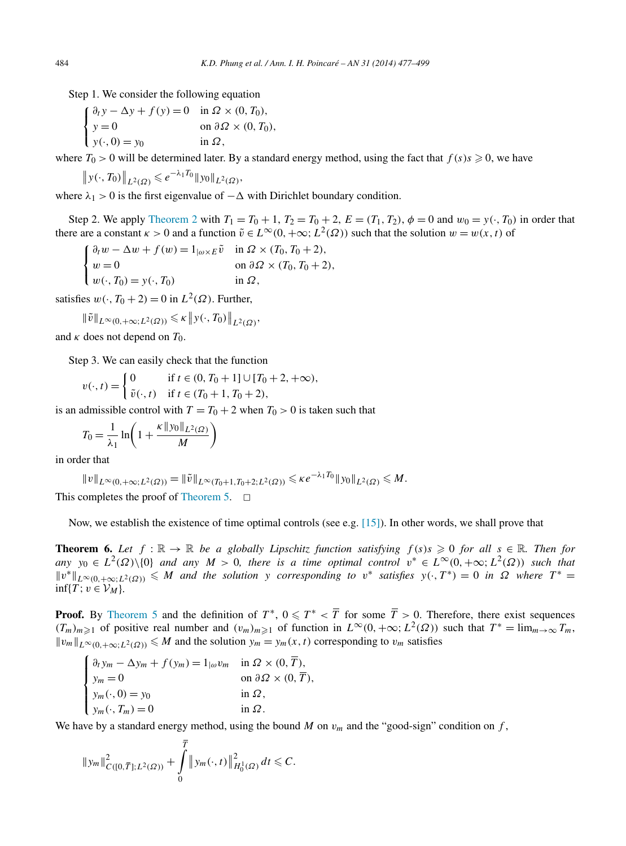<span id="page-7-0"></span>Step 1. We consider the following equation

$$
\begin{cases} \n\frac{\partial_t y - \Delta y + f(y) = 0 & \text{in } \Omega \times (0, T_0), \\ \ny = 0 & \text{on } \partial \Omega \times (0, T_0), \\ \ny(\cdot, 0) = y_0 & \text{in } \Omega, \n\end{cases}
$$

where  $T_0 > 0$  will be determined later. By a standard energy method, using the fact that  $f(s) s \geq 0$ , we have

$$
\|y(\cdot,T_0)\|_{L^2(\Omega)} \leqslant e^{-\lambda_1 T_0} \|y_0\|_{L^2(\Omega)},
$$

where  $\lambda_1 > 0$  is the first eigenvalue of  $-\Delta$  with Dirichlet boundary condition.

Step 2. We apply [Theorem](#page-2-0) 2 with  $T_1 = T_0 + 1$ ,  $T_2 = T_0 + 2$ ,  $E = (T_1, T_2)$ ,  $\phi = 0$  and  $w_0 = y(\cdot, T_0)$  in order that there are a constant  $\kappa > 0$  and a function  $\tilde{v} \in L^{\infty}(0, +\infty; L^2(\Omega))$  such that the solution  $w = w(x, t)$  of

 $\mathbf{f}$  $\mathbf{I}$  $\mathbf l$  $\partial_t w - \Delta w + f(w) = 1_{\vert \omega \times E} \tilde{v}$  in  $\Omega \times (T_0, T_0 + 2)$ ,  $w = 0$  on  $\partial \Omega \times (T_0, T_0 + 2)$ ,  $w(\cdot, T_0) = y(\cdot, T_0)$  in  $\Omega$ ,

satisfies  $w(\cdot, T_0 + 2) = 0$  in  $L^2(\Omega)$ . Further,

$$
\|\tilde{v}\|_{L^{\infty}(0,+\infty;L^2(\Omega))} \leq \kappa \|y(\cdot,T_0)\|_{L^2(\Omega)},
$$

and  $\kappa$  does not depend on  $T_0$ .

Step 3. We can easily check that the function

$$
v(\cdot, t) = \begin{cases} 0 & \text{if } t \in (0, T_0 + 1] \cup [T_0 + 2, +\infty), \\ \tilde{v}(\cdot, t) & \text{if } t \in (T_0 + 1, T_0 + 2), \end{cases}
$$

is an admissible control with  $T = T_0 + 2$  when  $T_0 > 0$  is taken such that

$$
T_0 = \frac{1}{\lambda_1} \ln \left( 1 + \frac{\kappa \|y_0\|_{L^2(\Omega)}}{M} \right)
$$

in order that

$$
||v||_{L^{\infty}(0,+\infty;L^{2}(\Omega))} = ||\tilde{v}||_{L^{\infty}(T_{0}+1,T_{0}+2;L^{2}(\Omega))} \leq \kappa e^{-\lambda_{1}T_{0}}||y_{0}||_{L^{2}(\Omega)} \leq M.
$$

This completes the proof of [Theorem](#page-6-0) 5.  $\Box$ 

Now, we establish the existence of time optimal controls (see e.g. [\[15\]\)](#page-22-0). In other words, we shall prove that

**Theorem 6.** Let  $f : \mathbb{R} \to \mathbb{R}$  be a globally Lipschitz function satisfying  $f(s)s \geq 0$  for all  $s \in \mathbb{R}$ . Then for  $\alpha$ *ny*  $y_0 \in L^2(\Omega) \setminus \{0\}$  *and any*  $M > 0$ *, there is a time optimal control*  $v^* \in L^{\infty}(0, +\infty; L^2(\Omega))$  *such that*  $||v^*||_{L^{\infty}(0,+\infty;L^2(\Omega))} \leq M$  and the solution y corresponding to  $v^*$  satisfies  $y(\cdot,T^*)=0$  in  $\Omega$  where  $T^*$  $\inf\{T; v \in \mathcal{V}_M\}.$ 

**Proof.** By [Theorem 5](#page-6-0) and the definition of  $T^*$ ,  $0 \leq T^* < \overline{T}$  for some  $\overline{T} > 0$ . Therefore, there exist sequences *(T<sub>m</sub>)<sub>m*≥1</sub> of positive real number and  $(v_m)_{m≥1}$  of function in  $L^\infty(0, +\infty; L^2(\Omega))$  such that  $T^* = \lim_{m\to\infty} T_m$ ,  $||v_m||_{L^{\infty}(0,+\infty;L^2(\Omega))} \leq M$  and the solution  $y_m = y_m(x,t)$  corresponding to  $v_m$  satisfies

 $\mathbf{f}$  $\vert$  $\overline{\mathcal{N}}$  $\partial_t y_m - \Delta y_m + f(y_m) = 1_{|\omega} v_m$  in  $\Omega \times (0, \overline{T}),$  $y_m = 0$  on  $\partial \Omega \times (0, \overline{T}),$  $y_m(\cdot, 0) = y_0$  in  $\Omega$ ,  $y_m(\cdot, T_m) = 0$  in  $\Omega$ .

We have by a standard energy method, using the bound *M* on  $v_m$  and the "good-sign" condition on *f*,

$$
\|y_m\|_{C([0,\overline{T}];L^2(\Omega))}^2 + \int_0^T \|y_m(\cdot,t)\|_{H_0^1(\Omega)}^2 dt \leq C.
$$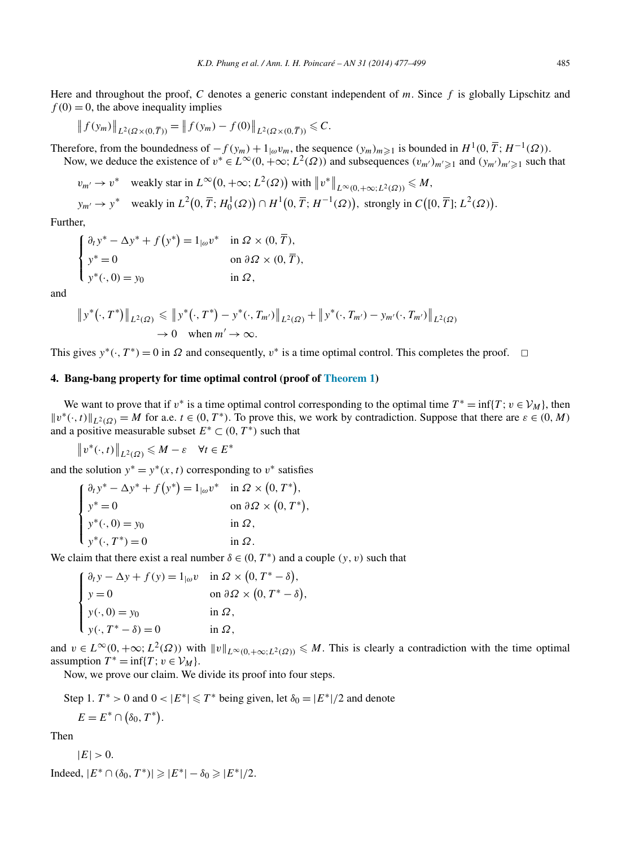<span id="page-8-0"></span>Here and throughout the proof, *C* denotes a generic constant independent of *m*. Since *f* is globally Lipschitz and  $f(0) = 0$ , the above inequality implies

$$
\|f(y_m)\|_{L^2(\Omega\times(0,\overline{T}))} = \|f(y_m) - f(0)\|_{L^2(\Omega\times(0,\overline{T}))} \leq C.
$$

Therefore, from the boundedness of  $-f(y_m) + 1_{\vert \omega} v_m$ , the sequence  $(y_m)_{m \geq 1}$  is bounded in  $H^1(0, \overline{T}; H^{-1}(\Omega))$ . Now, we deduce the existence of  $v^* \in L^{\infty}(0, +\infty; L^2(\Omega))$  and subsequences  $(v_{m'})_{m'\geq 1}$  and  $(y_{m'})_{m'\geq 1}$  such that

$$
v_{m'} \to v^*
$$
 weakly star in  $L^{\infty}(0, +\infty; L^2(\Omega))$  with  $||v^*||_{L^{\infty}(0, +\infty; L^2(\Omega))} \le M$ ,  
\n
$$
y_{m'} \to y^*
$$
 weakly in  $L^2(0, \overline{T}; H_0^1(\Omega)) \cap H^1(0, \overline{T}; H^{-1}(\Omega))$ , strongly in  $C([0, \overline{T}]; L^2(\Omega))$ .

Further,

$$
\begin{cases} \n\partial_t y^* - \Delta y^* + f(y^*) = 1_{|\omega} v^* & \text{in } \Omega \times (0, \overline{T}), \\ \ny^* = 0 & \text{on } \partial \Omega \times (0, \overline{T}), \\ \ny^*(\cdot, 0) = y_0 & \text{in } \Omega, \n\end{cases}
$$

and

$$
\|y^*(\cdot,T^*)\|_{L^2(\Omega)} \le \|y^*(\cdot,T^*) - y^*(\cdot,T_{m'})\|_{L^2(\Omega)} + \|y^*(\cdot,T_{m'}) - y_{m'}(\cdot,T_{m'})\|_{L^2(\Omega)}
$$
  
\n
$$
\to 0 \quad \text{when } m' \to \infty.
$$

This gives  $y^*(\cdot, T^*) = 0$  in  $\Omega$  and consequently,  $v^*$  is a time optimal control. This completes the proof.  $\Box$ 

### **4. Bang-bang property for time optimal control (proof of [Theorem 1\)](#page-1-0)**

We want to prove that if  $v^*$  is a time optimal control corresponding to the optimal time  $T^* = \inf\{T : v \in V_M\}$ , then  $||v^*(\cdot,t)||_{L^2(\Omega)} = M$  for a.e.  $t \in (0,T^*)$ . To prove this, we work by contradiction. Suppose that there are  $\varepsilon \in (0,M)$ and a positive measurable subset  $E^* \subset (0, T^*)$  such that

 $||v^*(·, t)||_{L^2(\Omega)} \leq M - \varepsilon \quad \forall t \in E^*$ 

and the solution  $y^* = y^*(x, t)$  corresponding to  $v^*$  satisfies

$$
\begin{cases} \n\partial_t y^* - \Delta y^* + f(y^*) = 1_{|\omega} v^* & \text{in } \Omega \times (0, T^*), \\ \ny^* = 0 & \text{on } \partial \Omega \times (0, T^*), \\ \ny^*(\cdot, 0) = y_0 & \text{in } \Omega, \\ \ny^*(\cdot, T^*) = 0 & \text{in } \Omega. \end{cases}
$$

We claim that there exist a real number  $\delta \in (0, T^*)$  and a couple  $(y, v)$  such that

$$
\begin{cases}\n\frac{\partial_t y - \Delta y + f(y)}{\partial y} = 1_{|\omega} v & \text{in } \Omega \times (0, T^* - \delta), \\
y = 0 & \text{on } \partial \Omega \times (0, T^* - \delta), \\
y(\cdot, 0) = y_0 & \text{in } \Omega, \\
y(\cdot, T^* - \delta) = 0 & \text{in } \Omega,\n\end{cases}
$$

and  $v \in L^{\infty}(0, +\infty; L^2(\Omega))$  with  $||v||_{L^{\infty}(0, +\infty; L^2(\Omega))} \le M$ . This is clearly a contradiction with the time optimal assumption  $T^* = \inf\{T : v \in V_M\}.$ 

Now, we prove our claim. We divide its proof into four steps.

Step 1.  $T^* > 0$  and  $0 < |E^*| \le T^*$  being given, let  $\delta_0 = |E^*|/2$  and denote  $E = E^* \cap (\delta_0, T^*).$ 

Then

$$
|E| > 0.
$$

Indeed, 
$$
|E^* \cap (\delta_0, T^*)| \geq |E^*| - \delta_0 \geq |E^*|/2
$$
.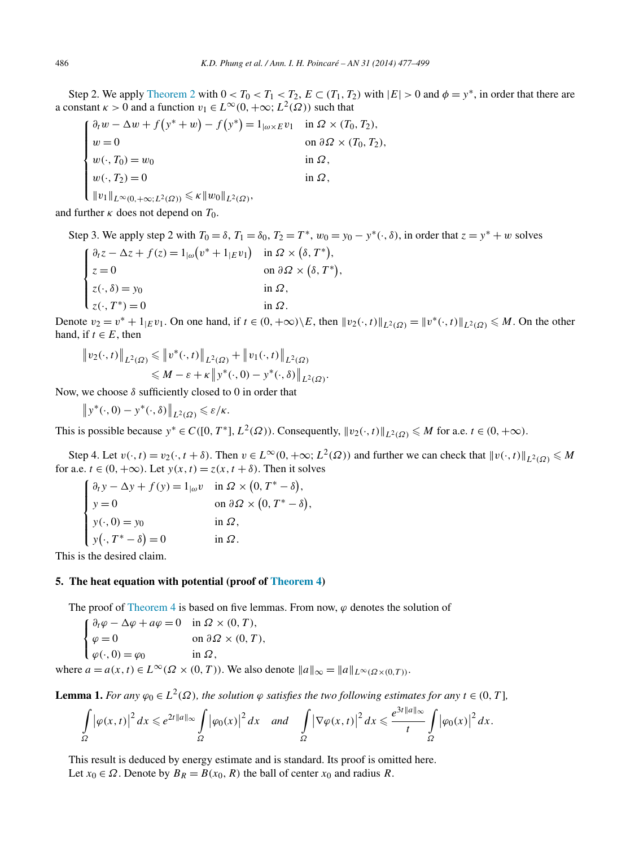<span id="page-9-0"></span>Step 2. We apply [Theorem 2](#page-2-0) with  $0 < T_0 < T_1 < T_2$ ,  $E \subset (T_1, T_2)$  with  $|E| > 0$  and  $\phi = y^*$ , in order that there are a constant  $\kappa > 0$  and a function  $v_1 \in L^\infty(0, +\infty; L^2(\Omega))$  such that

 $\mathbf{f}$  $\frac{1}{\sqrt{2\pi}}$  $\frac{1}{\sqrt{2\pi}}$  $\partial_t w - \Delta w + f(y^* + w) - f(y^*) = 1_{\{\omega \times E} v_1} \text{ in } \Omega \times (T_0, T_2),$  $w = 0$  on  $\partial \Omega \times (T_0, T_2)$ ,  $w(\cdot, T_0) = w_0$  in  $\Omega$ ,  $w(\cdot, T_2) = 0$  in  $\Omega$ ,  $||v_1||_{L^{\infty}(0, +\infty; L^2(\Omega))} \leq \kappa ||w_0||_{L^2(\Omega)},$ 

and further  $\kappa$  does not depend on  $T_0$ .

Step 3. We apply step 2 with  $T_0 = \delta$ ,  $T_1 = \delta_0$ ,  $T_2 = T^*$ ,  $w_0 = y_0 - y^*(\cdot, \delta)$ , in order that  $z = y^* + w$  solves

 $\mathbf{f}$  $\vert$  $\overline{\mathcal{N}}$  $\partial_t z - \Delta z + f(z) = 1_{|\omega|} (v^* + 1_{|E} v_1) \text{ in } \Omega \times (\delta, T^*),$  $z = 0$  on  $\partial \Omega \times (\delta, T^*)$ ,  $z(\cdot,\delta) = y_0$  in  $\Omega$ ,  $z(\cdot, T^*) = 0$  in  $\Omega$ .

Denote  $v_2 = v^* + 1_{|E}v_1$ . On one hand, if  $t \in (0, +\infty) \setminus E$ , then  $||v_2(\cdot, t)||_{L^2(\Omega)} = ||v^*(\cdot, t)||_{L^2(\Omega)} \le M$ . On the other hand, if  $t \in E$ , then

$$
\|v_2(\cdot,t)\|_{L^2(\Omega)} \leq \|v^*(\cdot,t)\|_{L^2(\Omega)} + \|v_1(\cdot,t)\|_{L^2(\Omega)}
$$
  

$$
\leq M - \varepsilon + \kappa \|v^*(\cdot,0) - v^*(\cdot,\delta)\|_{L^2(\Omega)}.
$$

Now, we choose *δ* sufficiently closed to 0 in order that

 $||y^*(\cdot, 0) - y^*(\cdot, \delta)||_{L^2(\Omega)} \leqslant \varepsilon/\kappa.$ 

This is possible because  $y^* \in C([0, T^*], L^2(\Omega))$ . Consequently,  $||v_2(\cdot, t)||_{L^2(\Omega)} \le M$  for a.e.  $t \in (0, +\infty)$ .

Step 4. Let  $v(\cdot, t) = v_2(\cdot, t + \delta)$ . Then  $v \in L^\infty(0, +\infty; L^2(\Omega))$  and further we can check that  $||v(\cdot, t)||_{L^2(\Omega)} \le M$ for a.e.  $t \in (0, +\infty)$ . Let  $y(x, t) = z(x, t + \delta)$ . Then it solves

$$
\begin{cases}\n\partial_t y - \Delta y + f(y) = 1_{|\omega} v & \text{in } \Omega \times (0, T^* - \delta), \\
y = 0 & \text{on } \partial \Omega \times (0, T^* - \delta), \\
y(\cdot, 0) = y_0 & \text{in } \Omega, \\
y(\cdot, T^* - \delta) = 0 & \text{in } \Omega.\n\end{cases}
$$

This is the desired claim.

## **5. The heat equation with potential (proof of [Theorem 4\)](#page-3-0)**

The proof of [Theorem 4](#page-3-0) is based on five lemmas. From now,  $\varphi$  denotes the solution of

$$
\begin{cases} \n\partial_t \varphi - \Delta \varphi + a\varphi = 0 & \text{in } \Omega \times (0, T), \\ \n\varphi = 0 & \text{on } \partial \Omega \times (0, T), \\ \n\varphi(\cdot, 0) = \varphi_0 & \text{in } \Omega, \n\end{cases}
$$

where  $a = a(x, t) \in L^{\infty}(\Omega \times (0, T))$ . We also denote  $||a||_{\infty} = ||a||_{L^{\infty}(\Omega \times (0, T))}$ .

**Lemma 1.** For any  $\varphi_0 \in L^2(\Omega)$ , the solution  $\varphi$  satisfies the two following estimates for any  $t \in (0, T]$ ,

$$
\int_{\Omega}\big|\varphi(x,t)\big|^2\,dx\leqslant e^{2t\|a\|_\infty}\int_{\Omega}\big|\varphi_0(x)\big|^2\,dx\quad\text{and}\quad\int_{\Omega}\big|\nabla\varphi(x,t)\big|^2\,dx\leqslant \frac{e^{3t\|a\|_\infty}}{t}\int_{\Omega}\big|\varphi_0(x)\big|^2\,dx.
$$

This result is deduced by energy estimate and is standard. Its proof is omitted here. Let  $x_0 \in \Omega$ . Denote by  $B_R = B(x_0, R)$  the ball of center  $x_0$  and radius R.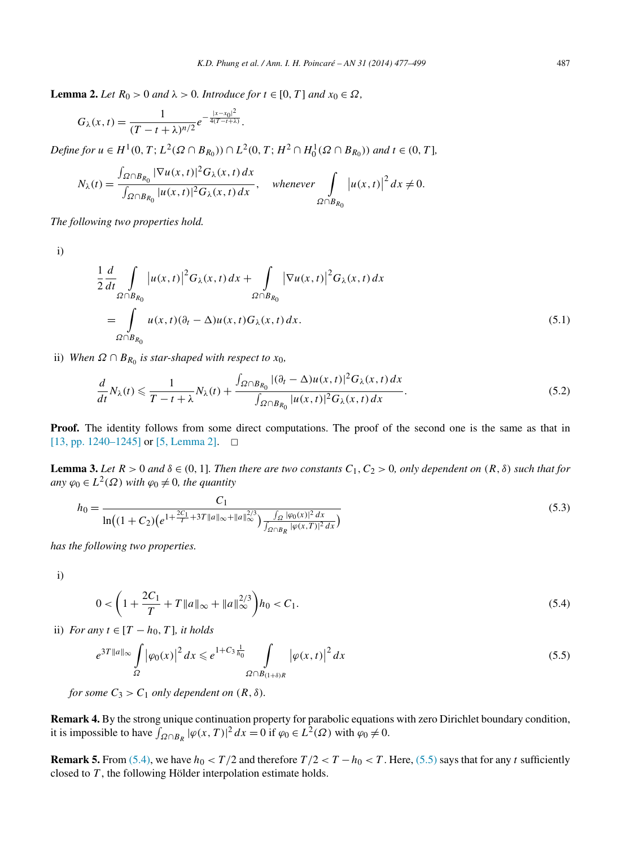<span id="page-10-0"></span>**Lemma 2.** *Let*  $R_0 > 0$  *and*  $\lambda > 0$ *. Introduce for*  $t \in [0, T]$  *and*  $x_0 \in \Omega$ *,* 

$$
G_{\lambda}(x,t) = \frac{1}{(T-t+\lambda)^{n/2}} e^{-\frac{|x-x_0|^2}{4(T-t+\lambda)}}.
$$

Define for  $u \in H^1(0, T; L^2(\Omega \cap B_{R_0})) \cap L^2(0, T; H^2 \cap H_0^1(\Omega \cap B_{R_0}))$  and  $t \in (0, T]$ ,

$$
N_{\lambda}(t) = \frac{\int_{\Omega \cap B_{R_0}} |\nabla u(x, t)|^2 G_{\lambda}(x, t) dx}{\int_{\Omega \cap B_{R_0}} |u(x, t)|^2 G_{\lambda}(x, t) dx}, \quad \text{whenever} \quad \int_{\Omega \cap B_{R_0}} |u(x, t)|^2 dx \neq 0.
$$

*The following two properties hold.*

i)

$$
\frac{1}{2}\frac{d}{dt}\int_{\Omega\cap B_{R_0}}|u(x,t)|^2G_{\lambda}(x,t)dx + \int_{\Omega\cap B_{R_0}}|\nabla u(x,t)|^2G_{\lambda}(x,t)dx
$$
  
= 
$$
\int_{\Omega\cap B_{R_0}}u(x,t)(\partial_t-\Delta)u(x,t)G_{\lambda}(x,t)dx.
$$
 (5.1)

ii) *When*  $Ω ∩ B_{R_0}$  *is star-shaped with respect to*  $x_0$ *,* 

$$
\frac{d}{dt}N_{\lambda}(t) \leqslant \frac{1}{T-t+\lambda}N_{\lambda}(t) + \frac{\int_{\Omega \cap B_{R_0}} |(\partial_t - \Delta)u(x,t)|^2 G_{\lambda}(x,t) dx}{\int_{\Omega \cap B_{R_0}} |u(x,t)|^2 G_{\lambda}(x,t) dx}.
$$
\n
$$
(5.2)
$$

**Proof.** The identity follows from some direct computations. The proof of the second one is the same as that in [\[13, pp. 1240–1245\]](#page-21-0) or [\[5, Lemma 2\].](#page-21-0)  $\Box$ 

**Lemma 3.** Let  $R > 0$  and  $\delta \in (0, 1]$ . Then there are two constants  $C_1, C_2 > 0$ , only dependent on  $(R, \delta)$  such that for *any*  $\varphi_0 \in L^2(\Omega)$  *with*  $\varphi_0 \neq 0$ *, the quantity* 

$$
h_0 = \frac{C_1}{\ln\left((1+C_2)\left(e^{1+\frac{2C_1}{T}+3T\|a\|_{\infty}+\|a\|_{\infty}^{2/3}\right)}\frac{\int_{\Omega}|\varphi_0(x)|^2\,dx}{\int_{\Omega\cap B_R}|\varphi(x,T)|^2\,dx}}
$$
(5.3)

*has the following two properties.*

i)

$$
0 < \left(1 + \frac{2C_1}{T} + T \|a\|_{\infty} + \|a\|_{\infty}^{2/3}\right) h_0 < C_1. \tag{5.4}
$$

ii) *For any t* ∈  $[T - h_0, T]$ *, it holds* 

$$
e^{3T||a||_{\infty}} \int_{\Omega} |\varphi_0(x)|^2 dx \leq e^{1+C_3 \frac{1}{h_0}} \int_{\Omega \cap B_{(1+\delta)R}} |\varphi(x,t)|^2 dx \tag{5.5}
$$

*for some*  $C_3 > C_1$  *only dependent on*  $(R, \delta)$ *.* 

**Remark 4.** By the strong unique continuation property for parabolic equations with zero Dirichlet boundary condition, it is impossible to have  $\int_{\Omega \cap B_R} |\varphi(x, T)|^2 dx = 0$  if  $\varphi_0 \in L^2(\Omega)$  with  $\varphi_0 \neq 0$ .

**Remark 5.** From (5.4), we have  $h_0 < T/2$  and therefore  $T/2 < T - h_0 < T$ . Here, (5.5) says that for any *t* sufficiently closed to *T* , the following Hölder interpolation estimate holds.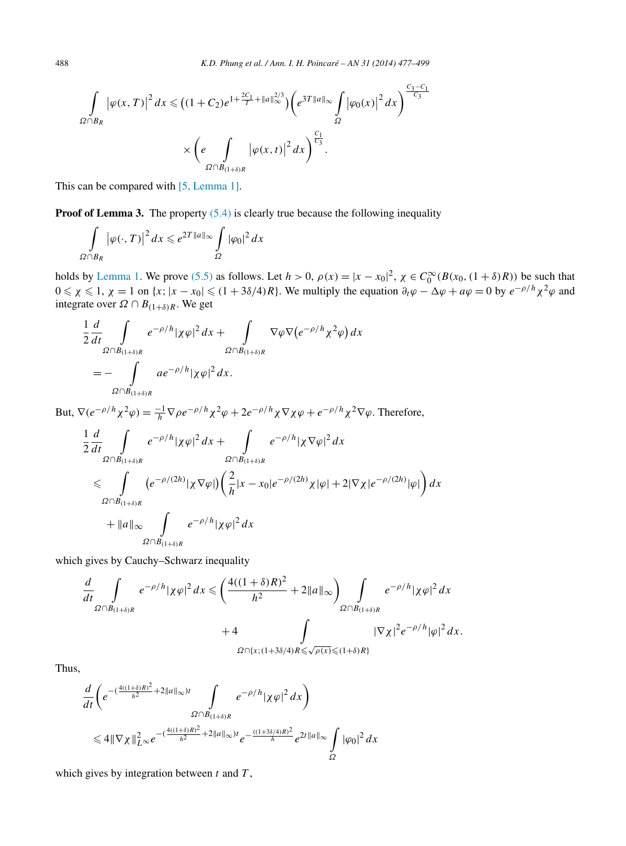$$
\int_{\Omega \cap B_R} |\varphi(x, T)|^2 dx \le (1 + C_2)e^{1 + \frac{2C_1}{T} + ||a||_{\infty}^{2/3}}) \left(e^{3T ||a||_{\infty}} \int_{\Omega} |\varphi_0(x)|^2 dx\right)^{\frac{C_3 - C_1}{C_3}}
$$

$$
\times \left(e \int_{\Omega \cap B_{(1 + \delta)R}} |\varphi(x, t)|^2 dx\right)^{\frac{C_1}{C_3}}.
$$

This can be compared with [\[5, Lemma 1\].](#page-21-0)

**Proof of Lemma 3.** The property  $(5.4)$  is clearly true because the following inequality

$$
\int_{\Omega \cap B_R} |\varphi(\cdot, T)|^2 dx \leq e^{2T ||a||_{\infty}} \int_{\Omega} |\varphi_0|^2 dx
$$

holds by [Lemma](#page-9-0) 1. We prove [\(5.5\)](#page-10-0) as follows. Let  $h > 0$ ,  $\rho(x) = |x - x_0|^2$ ,  $\chi \in C_0^{\infty}(B(x_0, (1 + \delta)R))$  be such that  $0 \le \chi \le 1$ ,  $\chi = 1$  on  $\{x; |x - x_0| \le (1 + 3\delta/4)R\}$ . We multiply the equation  $\partial_t \varphi - \Delta \varphi + a\varphi = 0$  by  $e^{-\rho/h} \chi^2 \varphi$  and integrate over  $\Omega \cap B_{(1+\delta)R}$ . We get

$$
\frac{1}{2}\frac{d}{dt}\int_{\Omega\cap B_{(1+\delta)R}}e^{-\rho/h}|\chi\varphi|^2 dx + \int_{\Omega\cap B_{(1+\delta)R}}\nabla\varphi\nabla\big(e^{-\rho/h}\chi^2\varphi\big) dx
$$
  
= 
$$
-\int_{\Omega\cap B_{(1+\delta)R}}ae^{-\rho/h}|\chi\varphi|^2 dx.
$$

But,  $\nabla (e^{-\rho/h} \chi^2 \varphi) = \frac{-1}{h} \nabla \rho e^{-\rho/h} \chi^2 \varphi + 2e^{-\rho/h} \chi \nabla \chi \varphi + e^{-\rho/h} \chi^2 \nabla \varphi$ . Therefore,

$$
\frac{1}{2}\frac{d}{dt}\int_{\Omega\cap B_{(1+\delta)R}}e^{-\rho/h}|\chi\varphi|^2 dx + \int_{\Omega\cap B_{(1+\delta)R}}e^{-\rho/h}|\chi\nabla\varphi|^2 dx
$$
\n
$$
\leq \int_{\Omega\cap B_{(1+\delta)R}}(e^{-\rho/(2h)}|\chi\nabla\varphi|\Big(\frac{2}{h}|x-x_0|e^{-\rho/(2h)}\chi|\varphi|+2|\nabla\chi|e^{-\rho/(2h)}|\varphi|\Big)dx
$$
\n
$$
+||a||_{\infty}\int_{\Omega\cap B_{(1+\delta)R}}e^{-\rho/h}|\chi\varphi|^2 dx
$$

which gives by Cauchy–Schwarz inequality

$$
\frac{d}{dt} \int_{\Omega \cap B_{(1+\delta)R}} e^{-\rho/h} |\chi \varphi|^2 dx \leq \left( \frac{4((1+\delta)R)^2}{h^2} + 2||a||_{\infty} \right) \int_{\Omega \cap B_{(1+\delta)R}} e^{-\rho/h} |\chi \varphi|^2 dx
$$
  
+4
$$
\int_{\Omega \cap \{x; (1+\delta)^2/4\}} |\nabla \chi|^2 e^{-\rho/h} |\varphi|^2 dx.
$$

Thus,

$$
\frac{d}{dt} \left( e^{-\left(\frac{4((1+\delta)R)^2}{h^2} + 2\|a\|_{\infty}\right)t} \int_{\Omega \cap B_{(1+\delta)R}} e^{-\rho/h} |\chi \varphi|^2 dx \right)
$$
  

$$
\leq 4 \|\nabla \chi\|_{L^{\infty}}^2 e^{-\left(\frac{4((1+\delta)R)^2}{h^2} + 2\|a\|_{\infty}\right)t} e^{-\frac{((1+3\delta/4)R)^2}{h}} e^{2t \|a\|_{\infty}} \int_{\Omega} |\varphi_0|^2 dx
$$

which gives by integration between *t* and *T* ,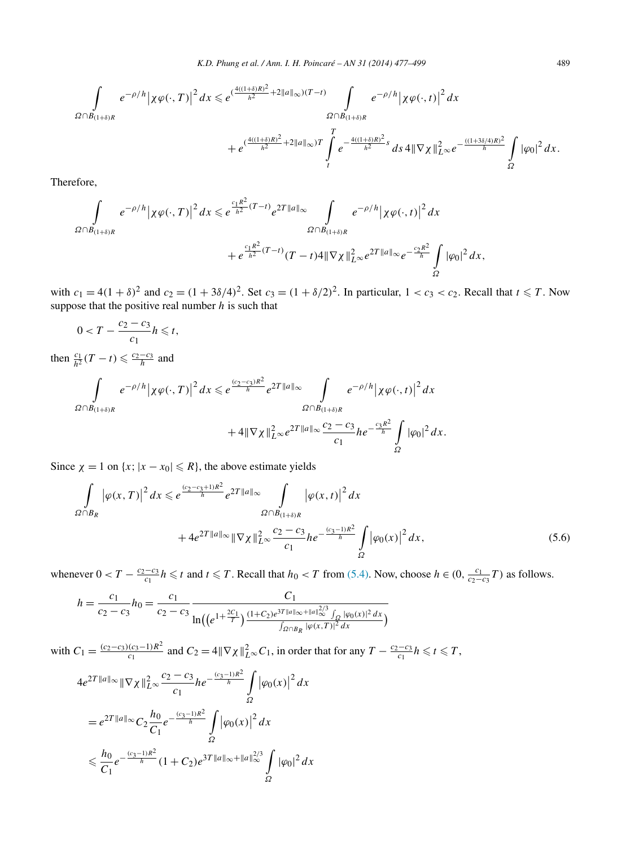<span id="page-12-0"></span>
$$
\begin{aligned} \int\limits_{\Omega\cap B_{(1+\delta)R}} e^{-\rho/h} \big|\chi \varphi(\cdot,T)\big|^2\,dx &\leqslant e^{(\frac{4((1+\delta)R)^2}{h^2}+2\|a\|_\infty)(T-t)}\int\limits_{\Omega\cap B_{(1+\delta)R}} e^{-\rho/h} \big|\chi \varphi(\cdot,t)\big|^2\,dx \\ &+ e^{(\frac{4((1+\delta)R)^2}{h^2}+2\|a\|_\infty)T}\int\limits_{t}^{T} e^{-\frac{4((1+\delta)R)^2}{h^2}s}\,ds\,4\|\nabla \chi\|_{L^\infty}^2 e^{-\frac{((1+3\delta/4)R)^2}{h}}\int\limits_{\Omega} |\varphi_0|^2\,dx. \end{aligned}
$$

Therefore,

$$
\int_{\Omega\cap B_{(1+\delta)R}} e^{-\rho/h} |\chi \varphi(\cdot,T)|^2 dx \leq e^{\frac{c_1 R^2}{h^2} (T-t)} e^{2T ||a||_{\infty}} \int_{\Omega\cap B_{(1+\delta)R}} e^{-\rho/h} |\chi \varphi(\cdot,t)|^2 dx
$$
  
 
$$
+ e^{\frac{c_1 R^2}{h^2} (T-t)} (T-t) 4 ||\nabla \chi||^2_{L^{\infty}} e^{2T ||a||_{\infty}} e^{-\frac{c_2 R^2}{h}} \int_{\Omega} |\varphi_0|^2 dx,
$$

with  $c_1 = 4(1 + \delta)^2$  and  $c_2 = (1 + 3\delta/4)^2$ . Set  $c_3 = (1 + \delta/2)^2$ . In particular,  $1 < c_3 < c_2$ . Recall that  $t \le T$ . Now suppose that the positive real number *h* is such that

$$
0 < T - \frac{c_2 - c_3}{c_1} h \le t,
$$
  
\nthen  $\frac{c_1}{h^2} (T - t) \le \frac{c_2 - c_3}{h}$  and  
\n
$$
\int_{\Omega \cap B_{(1+\delta)R}} e^{-\rho/h} |\chi \varphi(\cdot, T)|^2 dx \le e^{\frac{(c_2 - c_3)R^2}{h}} e^{2T ||a||_{\infty}} \int_{\Omega \cap B_{(1+\delta)R}} e^{-\rho/h} |\chi \varphi(\cdot, t)|^2 dx
$$
  
\n
$$
+ 4||\nabla \chi||_{L^{\infty}}^2 e^{2T ||a||_{\infty}} \frac{c_2 - c_3}{c_1} h e^{-\frac{c_3 R^2}{h}} \int_{\Omega} |\varphi_0|^2 dx.
$$

Since  $\chi = 1$  on  $\{x; |x - x_0| \le R\}$ , the above estimate yields

$$
\int_{\Omega \cap B_R} |\varphi(x, T)|^2 dx \leq e^{\frac{(c_2 - c_3 + 1)R^2}{\hbar}} e^{2T ||a||_{\infty}} \int_{\Omega \cap B_{(1 + \delta)R}} |\varphi(x, t)|^2 dx + 4e^{2T ||a||_{\infty}} \|\nabla \chi\|_{L^{\infty}}^2 \frac{c_2 - c_3}{c_1} h e^{-\frac{(c_3 - 1)R^2}{\hbar}} \int_{\Omega} |\varphi_0(x)|^2 dx,
$$
(5.6)

whenever  $0 < T - \frac{c_2 - c_3}{c_1} h \le t$  and  $t \le T$ . Recall that  $h_0 < T$  from [\(5.4\).](#page-10-0) Now, choose  $h \in (0, \frac{c_1}{c_2 - c_3}T)$  as follows.

$$
h = \frac{c_1}{c_2 - c_3} h_0 = \frac{c_1}{c_2 - c_3} \frac{C_1}{\ln\left(\left(e^{1 + \frac{2C_1}{T}}\right) \frac{(1 + C_2)e^{3T||a||_\infty + ||a||_{\infty}^{2/3} \int_{\Omega} |\varphi_0(x)|^2 dx}{\int_{\Omega \cap B_R} |\varphi(x,T)|^2 dx}\right)}
$$

with  $C_1 = \frac{(c_2 - c_3)(c_3 - 1)R^2}{c_1}$  and  $C_2 = 4\|\nabla \chi\|_{L^{\infty}}^2 C_1$ , in order that for any  $T - \frac{c_2 - c_3}{c_1} h \le t \le T$ ,

$$
4e^{2T||a||_{\infty}} \|\nabla \chi\|_{L^{\infty}}^2 \frac{c_2 - c_3}{c_1} h e^{-\frac{(c_3 - 1)R^2}{h}} \int_{\Omega} |\varphi_0(x)|^2 dx
$$
  
=  $e^{2T||a||_{\infty}} C_2 \frac{h_0}{C_1} e^{-\frac{(c_3 - 1)R^2}{h}} \int_{\Omega} |\varphi_0(x)|^2 dx$   
 $\leq \frac{h_0}{C_1} e^{-\frac{(c_3 - 1)R^2}{h}} (1 + C_2) e^{3T||a||_{\infty} + ||a||_{\infty}^{2/3}} \int_{\Omega} |\varphi_0|^2 dx$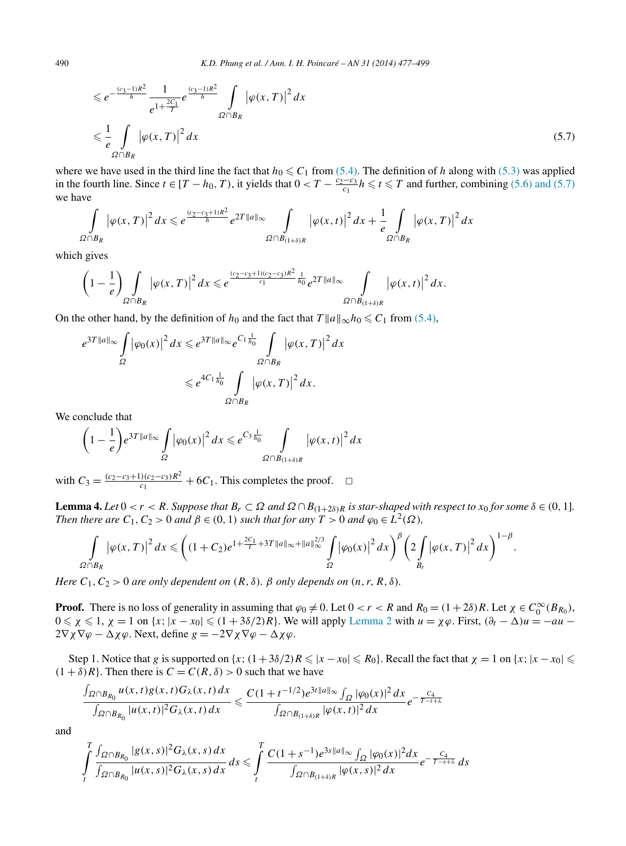<span id="page-13-0"></span>
$$
\leq e^{-\frac{(c_3-1)R^2}{h}} \frac{1}{e^{1+\frac{2C_1}{T}}} e^{\frac{(c_3-1)R^2}{h}} \int_{\Omega \cap B_R} |\varphi(x,T)|^2 dx
$$
  

$$
\leq \frac{1}{e} \int_{\Omega \cap B_R} |\varphi(x,T)|^2 dx
$$
\n(5.7)

where we have used in the third line the fact that  $h_0 \leq C_1$  from [\(5.4\).](#page-10-0) The definition of *h* along with [\(5.3\)](#page-10-0) was applied in the fourth line. Since *t* ∈ [*T* − *h*<sub>0</sub>, *T*), it yields that  $0 < T - \frac{c_2 - c_3}{c_1} h \le t \le T$  and further, combining [\(5.6\) and \(5.7\)](#page-12-0) we have

$$
\int_{\Omega \cap B_R} |\varphi(x,T)|^2 dx \leq e^{\frac{(c_2-c_3+1)R^2}{\hbar}} e^{2T||a||_{\infty}} \int_{\Omega \cap B_{(1+\delta)R}} |\varphi(x,t)|^2 dx + \frac{1}{e} \int_{\Omega \cap B_R} |\varphi(x,T)|^2 dx
$$

which gives

$$
\left(1-\frac{1}{e}\right)\int\limits_{\Omega\cap B_R}\left|\varphi(x,T)\right|^2dx\leqslant e^{\frac{(c_2-c_3+1)(c_2-c_3)R^2}{c_1}\frac{1}{h_0}}e^{2T\|a\|_\infty}\int\limits_{\Omega\cap B_{(1+\delta)R}}\left|\varphi(x,t)\right|^2dx.
$$

On the other hand, by the definition of  $h_0$  and the fact that  $T ||a||_{\infty} h_0 \leq C_1$  from [\(5.4\),](#page-10-0)

$$
e^{3T||a||_{\infty}} \int\limits_{\Omega} |\varphi_0(x)|^2 dx \leq e^{3T||a||_{\infty}} e^{C_1 \frac{1}{h_0}} \int\limits_{\Omega \cap B_R} |\varphi(x, T)|^2 dx
$$
  

$$
\leq e^{4C_1 \frac{1}{h_0}} \int\limits_{\Omega \cap B_R} |\varphi(x, T)|^2 dx.
$$

We conclude that

$$
\left(1 - \frac{1}{e}\right) e^{3T ||a||_{\infty}} \int\limits_{\Omega} |\varphi_0(x)|^2 dx \leq e^{C_3 \frac{1}{h_0}} \int\limits_{\Omega \cap B_{(1+\delta)R}} |\varphi(x, t)|^2 dx
$$

with  $C_3 = \frac{(c_2 - c_3 + 1)(c_2 - c_3)R^2}{c_1}$  + 6*C*<sub>1</sub>. This completes the proof.  $□$ 

**Lemma 4.** Let  $0 < r < R$ . Suppose that  $B_r \subset \Omega$  and  $\Omega \cap B_{(1+2\delta)R}$  is star-shaped with respect to  $x_0$  for some  $\delta \in (0, 1]$ . *Then there are*  $C_1$ ,  $C_2 > 0$  *and*  $\beta \in (0, 1)$  *such that for any*  $T > 0$  *and*  $\varphi_0 \in L^2(\Omega)$ *,* 

$$
\int_{\Omega \cap B_R} |\varphi(x,T)|^2 dx \leqslant \bigg( (1+C_2) e^{1+\frac{2C_1}{T}+3T\|a\|_{\infty}+\|a\|_{\infty}^{2/3}} \int_{\Omega} |\varphi_0(x)|^2 dx \bigg)^{\beta} \bigg( 2 \int_{B_r} |\varphi(x,T)|^2 dx \bigg)^{1-\beta}.
$$

*Here*  $C_1$ ,  $C_2$  > 0 *are only dependent on*  $(R, \delta)$ *.*  $\beta$  *only depends on*  $(n, r, R, \delta)$ *.* 

**Proof.** There is no loss of generality in assuming that  $\varphi_0 \neq 0$ . Let  $0 < r < R$  and  $R_0 = (1 + 2\delta)R$ . Let  $\chi \in C_0^{\infty}(B_{R_0})$ ,  $0 \le \chi \le 1$ ,  $\chi = 1$  on  $\{x; |x - x_0| \le (1 + 3\delta/2)R\}$ . We will apply [Lemma 2](#page-10-0) with  $u = \chi \varphi$ . First,  $(\partial_t - \Delta)u = -au 2\nabla \chi \nabla \varphi - \Delta \chi \varphi$ . Next, define  $g = -2\nabla \chi \nabla \varphi - \Delta \chi \varphi$ .

Step 1. Notice that *g* is supported on  $\{x; (1+3\delta/2)R \le |x-x_0| \le R_0\}$ . Recall the fact that  $\chi = 1$  on  $\{x; |x-x_0| \le R_0\}$ .  $(1 + \delta)R$ . Then there is  $C = C(R, \delta) > 0$  such that we have

$$
\frac{\int_{\Omega\cap B_{R_0}}u(x,t)g(x,t)G_\lambda(x,t)\,dx}{\int_{\Omega\cap B_{R_0}}|u(x,t)|^2G_\lambda(x,t)\,dx}\leqslant \frac{C(1+t^{-1/2})e^{3t\|a\|_\infty}\int_{\Omega}|\varphi_0(x)|^2\,dx}{\int_{\Omega\cap B_{(1+\delta)R}}|\varphi(x,t)|^2\,dx}e^{-\frac{C_4}{T-t+\lambda}}
$$

and

$$
\int\limits_t^T \frac{\int_{\Omega\cap B_{R_0}} |g(x,s)|^2 G_\lambda(x,s) \, dx}{\int\limits_t^T \frac{\int_{\Omega\cap B_{R_0}} |u(x,s)|^2 G_\lambda(x,s) \, dx}{\int\limits_t^T \frac{\int_{\Omega} |f(x,s)|^2 g(x,s) \, dx}{\int_{\Omega\cap B_{(1+\delta)R}} |\varphi(x,s)|^2 \, dx}} e^{-\frac{C_4}{T-s+\lambda}} \, ds
$$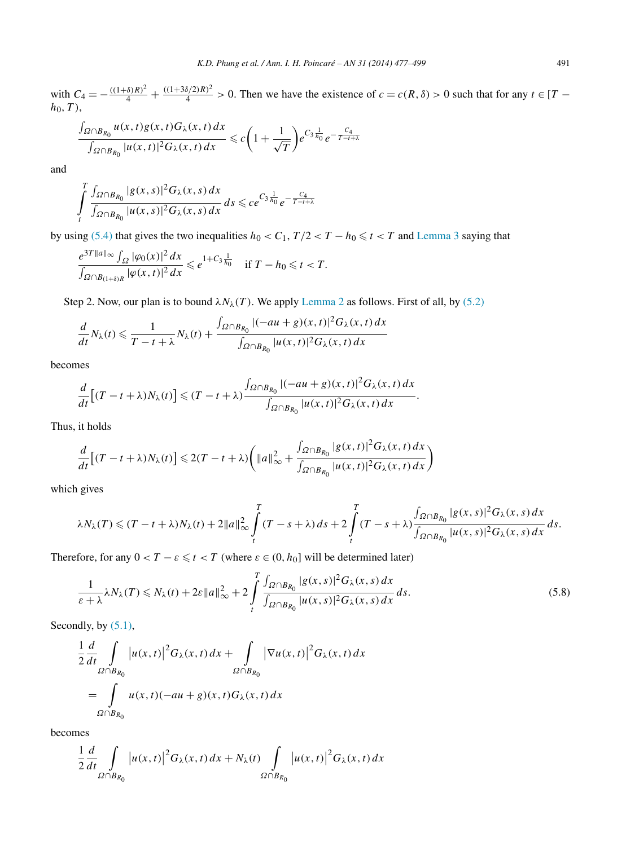<span id="page-14-0"></span>with  $C_4 = -\frac{((1+\delta)R)^2}{4} + \frac{((1+3\delta/2)R)^2}{4} > 0$ . Then we have the existence of  $c = c(R,\delta) > 0$  such that for any  $t \in [T - \delta]$ *h*0*,T)*,

$$
\frac{\int_{\Omega \cap B_{R_0}} u(x,t)g(x,t)G_\lambda(x,t)dx}{\int_{\Omega \cap B_{R_0}} |u(x,t)|^2 G_\lambda(x,t)dx} \leq c \left(1 + \frac{1}{\sqrt{T}}\right) e^{C_3 \frac{1}{h_0}} e^{-\frac{C_4}{T-t+\lambda}}
$$

and

$$
\int\limits_t^T\frac{\int_{\Omega\cap B_{R_0}}|g(x,s)|^2G_\lambda(x,s)\,dx}{\int_{\Omega\cap B_{R_0}}|u(x,s)|^2G_\lambda(x,s)\,dx}\,ds\leqslant ce^{C_3\frac{1}{h_0}}e^{-\frac{C_4}{T-t+\lambda}}
$$

by using [\(5.4\)](#page-10-0) that gives the two inequalities  $h_0 < C_1$ ,  $T/2 < T - h_0 \leq t < T$  and [Lemma 3](#page-10-0) saying that

$$
\frac{e^{3T||a||_{\infty}}\int_{\Omega}|\varphi_0(x)|^2 dx}{\int_{\Omega\cap B_{(1+\delta)R}}|\varphi(x,t)|^2 dx} \leq e^{1+C_3\frac{1}{h_0}} \quad \text{if } T - h_0 \leq t < T.
$$

Step 2. Now, our plan is to bound  $\lambda N_{\lambda}(T)$ . We apply [Lemma 2](#page-10-0) as follows. First of all, by [\(5.2\)](#page-10-0)

$$
\frac{d}{dt}N_{\lambda}(t) \leq \frac{1}{T-t+\lambda}N_{\lambda}(t) + \frac{\int_{\Omega \cap B_{R_0}} |(-au+g)(x,t)|^2 G_{\lambda}(x,t) dx}{\int_{\Omega \cap B_{R_0}} |u(x,t)|^2 G_{\lambda}(x,t) dx}
$$

becomes

$$
\frac{d}{dt}\Big[(T-t+\lambda)N_{\lambda}(t)\Big] \leq (T-t+\lambda)\frac{\int_{\Omega\cap B_{R_0}}|(-au+g)(x,t)|^2G_{\lambda}(x,t)\,dx}{\int_{\Omega\cap B_{R_0}}|u(x,t)|^2G_{\lambda}(x,t)\,dx}.
$$

Thus, it holds

$$
\frac{d}{dt}\left[(T-t+\lambda)N_{\lambda}(t)\right] \leq 2(T-t+\lambda)\left(\|a\|_{\infty}^{2} + \frac{\int_{\Omega\cap B_{R_{0}}}|g(x,t)|^{2}G_{\lambda}(x,t)dx}{\int_{\Omega\cap B_{R_{0}}}|u(x,t)|^{2}G_{\lambda}(x,t)dx}\right)
$$

which gives

$$
\lambda N_{\lambda}(T) \leq (T-t+\lambda)N_{\lambda}(t) + 2\|a\|_{\infty}^2 \int\limits_t^T (T-s+\lambda) \, ds + 2\int\limits_t^T (T-s+\lambda) \frac{\int_{\Omega \cap B_{R_0}} |g(x,s)|^2 G_{\lambda}(x,s) \, dx}{\int_{\Omega \cap B_{R_0}} |u(x,s)|^2 G_{\lambda}(x,s) \, dx} \, ds.
$$

Therefore, for any  $0 < T - \varepsilon \leq t < T$  (where  $\varepsilon \in (0, h_0]$  will be determined later)

$$
\frac{1}{\varepsilon + \lambda} \lambda N_{\lambda}(T) \leq N_{\lambda}(t) + 2\varepsilon \|a\|_{\infty}^2 + 2 \int_{t}^{T} \frac{\int_{\Omega \cap B_{R_0}} |g(x, s)|^2 G_{\lambda}(x, s) dx}{\int_{\Omega \cap B_{R_0}} |u(x, s)|^2 G_{\lambda}(x, s) dx} ds.
$$
\n(5.8)

Secondly, by  $(5.1)$ ,

$$
\frac{1}{2}\frac{d}{dt}\int_{\Omega\cap B_{R_0}}|u(x,t)|^2G_\lambda(x,t)\,dx + \int_{\Omega\cap B_{R_0}}|\nabla u(x,t)|^2G_\lambda(x,t)\,dx
$$

$$
= \int_{\Omega\cap B_{R_0}}u(x,t)(-au+g)(x,t)G_\lambda(x,t)\,dx
$$

becomes

$$
\frac{1}{2}\frac{d}{dt}\int_{\Omega\cap B_{R_0}}\big|u(x,t)\big|^2G_\lambda(x,t)\,dx+N_\lambda(t)\int_{\Omega\cap B_{R_0}}\big|u(x,t)\big|^2G_\lambda(x,t)\,dx
$$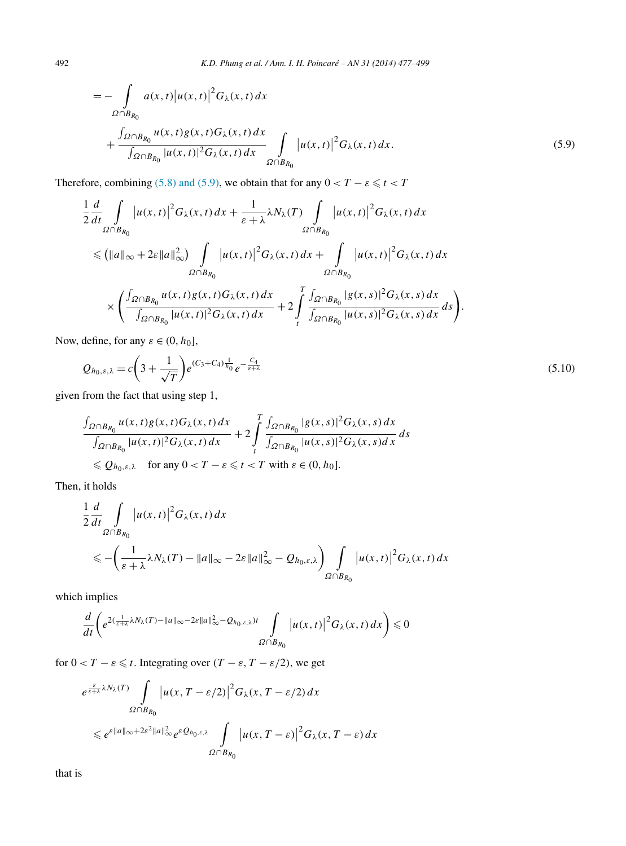<span id="page-15-0"></span>
$$
= - \int_{\Omega \cap B_{R_0}} a(x, t) |u(x, t)|^2 G_{\lambda}(x, t) dx + \frac{\int_{\Omega \cap B_{R_0}} u(x, t) g(x, t) G_{\lambda}(x, t) dx}{\int_{\Omega \cap B_{R_0}} |u(x, t)|^2 G_{\lambda}(x, t) dx} \int_{\Omega \cap B_{R_0}} |u(x, t)|^2 G_{\lambda}(x, t) dx.
$$
\n(5.9)

Therefore, combining [\(5.8\) and \(5.9\),](#page-14-0) we obtain that for any  $0 < T - \varepsilon \le t < T$ 

$$
\frac{1}{2}\frac{d}{dt}\int_{\Omega\cap B_{R_0}}|u(x,t)|^2G_{\lambda}(x,t)dx + \frac{1}{\varepsilon+\lambda}\lambda N_{\lambda}(T)\int_{\Omega\cap B_{R_0}}|u(x,t)|^2G_{\lambda}(x,t)dx
$$
\n
$$
\leq (||a||_{\infty}+2\varepsilon||a||_{\infty}^2)\int_{\Omega\cap B_{R_0}}|u(x,t)|^2G_{\lambda}(x,t)dx + \int_{\Omega\cap B_{R_0}}|u(x,t)|^2G_{\lambda}(x,t)dx
$$
\n
$$
\times \left(\frac{\int_{\Omega\cap B_{R_0}}u(x,t)g(x,t)G_{\lambda}(x,t)dx}{\int_{\Omega\cap B_{R_0}}|u(x,t)|^2G_{\lambda}(x,t)dx}+2\int_{t}^{T}\frac{\int_{\Omega\cap B_{R_0}}|g(x,s)|^2G_{\lambda}(x,s)dx}{\int_{\Omega\cap B_{R_0}}|u(x,s)|^2G_{\lambda}(x,s)dx}ds\right).
$$

Now, define, for any  $\varepsilon \in (0, h_0]$ ,

$$
Q_{h_0,\varepsilon,\lambda} = c \left( 3 + \frac{1}{\sqrt{T}} \right) e^{(C_3 + C_4) \frac{1}{h_0}} e^{-\frac{C_4}{\varepsilon + \lambda}}
$$
(5.10)

given from the fact that using step 1,

$$
\frac{\int_{\Omega \cap B_{R_0}} u(x,t)g(x,t)G_\lambda(x,t)dx}{\int_{\Omega \cap B_{R_0}} |u(x,t)|^2 G_\lambda(x,t)dx} + 2\int_t^T \frac{\int_{\Omega \cap B_{R_0}} |g(x,s)|^2 G_\lambda(x,s)dx}{\int_{\Omega \cap B_{R_0}} |u(x,s)|^2 G_\lambda(x,s)dx}ds
$$
  
\$\leqslant \mathcal{Q}\_{h\_0,\varepsilon,\lambda}\$ for any  $0 < T - \varepsilon \leqslant t < T$  with  $\varepsilon \in (0, h_0]$ .

Then, it holds

$$
\frac{1}{2}\frac{d}{dt}\int_{\Omega\cap B_{R_0}}|u(x,t)|^2G_\lambda(x,t)\,dx
$$
\n
$$
\leqslant -\left(\frac{1}{\varepsilon+\lambda}\lambda N_\lambda(T)-\|a\|_\infty-2\varepsilon\|a\|_\infty^2-Q_{h_0,\varepsilon,\lambda}\right)\int_{\Omega\cap B_{R_0}}\left|u(x,t)\right|^2G_\lambda(x,t)\,dx
$$

which implies

$$
\frac{d}{dt}\left(e^{2(\frac{1}{\varepsilon+\lambda}\lambda N_\lambda(T)-\|a\|_\infty-2\varepsilon\|a\|_\infty^2}-Q_{h_0,\varepsilon,\lambda})t}\int\limits_{\Omega\cap B_{R_0}}\left|u(x,t)\right|^2G_\lambda(x,t)\,dx\right)\leq 0
$$

for  $0 < T - \varepsilon \leq t$ . Integrating over  $(T - \varepsilon, T - \varepsilon/2)$ , we get

$$
e^{\frac{\varepsilon}{\varepsilon+\lambda}\lambda N_{\lambda}(T)}\int\limits_{\Omega\cap B_{R_0}}\left|u(x,T-\varepsilon/2)\right|^2G_{\lambda}(x,T-\varepsilon/2)dx
$$
  

$$
\leq e^{\varepsilon\|a\|_{\infty}+2\varepsilon^2\|a\|_{\infty}^2}e^{\varepsilon Q_{h_0,\varepsilon,\lambda}}\int\limits_{\Omega\cap B_{R_0}}\left|u(x,T-\varepsilon)\right|^2G_{\lambda}(x,T-\varepsilon)dx
$$

that is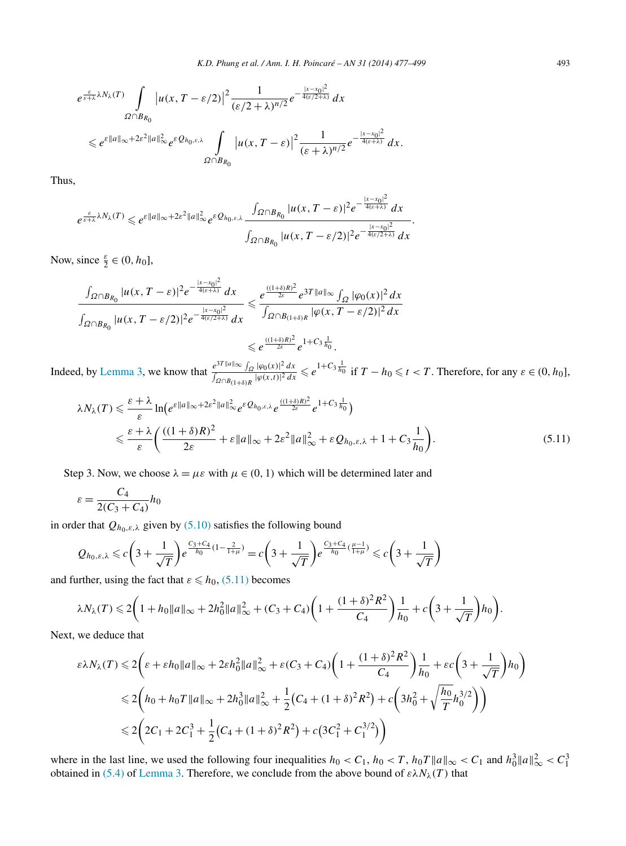$$
e^{\frac{\varepsilon}{\varepsilon+\lambda}\lambda N_{\lambda}(T)}\int\limits_{\Omega\cap B_{R_0}}\left|u(x,T-\varepsilon/2)\right|^2\frac{1}{(\varepsilon/2+\lambda)^{n/2}}e^{-\frac{|x-x_0|^2}{4(\varepsilon/2+\lambda)}}dx
$$
  

$$
\leq e^{\varepsilon\|a\|_{\infty}+2\varepsilon^2\|a\|_{\infty}^2}e^{\varepsilon Q_{h_0,\varepsilon,\lambda}}\int\limits_{\Omega\cap B_{R_0}}\left|u(x,T-\varepsilon)\right|^2\frac{1}{(\varepsilon+\lambda)^{n/2}}e^{-\frac{|x-x_0|^2}{4(\varepsilon+\lambda)}}dx.
$$

Thus,

$$
e^{\frac{\varepsilon}{\varepsilon+\lambda}\lambda N_\lambda(T)} \leqslant e^{\varepsilon \|a\|_\infty+2\varepsilon^2\|a\|_\infty^2}e^{\varepsilon Q_{h_0,\varepsilon,\lambda}}\frac{\int_{\Omega\cap B_{R_0}}|u(x,T-\varepsilon)|^2e^{-\frac{|x-x_0|^2}{4(\varepsilon+\lambda)}}dx}{\int_{\Omega\cap B_{R_0}}|u(x,T-\varepsilon/2)|^2e^{-\frac{|x-x_0|^2}{4(\varepsilon/2+\lambda)}}dx}.
$$

Now, since  $\frac{\varepsilon}{2} \in (0, h_0]$ ,

$$
\frac{\int_{\Omega \cap B_{R_0}} |u(x, T - \varepsilon)|^2 e^{-\frac{|x - x_0|^2}{4(\varepsilon + \lambda)}} dx}{\int_{\Omega \cap B_{R_0}} |u(x, T - \varepsilon/2)|^2 e^{-\frac{|x - x_0|^2}{4(\varepsilon/2 + \lambda)}} dx} \leq \frac{e^{\frac{((1 + \delta)R)^2}{2\varepsilon}} e^{3T ||a||_{\infty}} \int_{\Omega} |\varphi_0(x)|^2 dx}{\int_{\Omega \cap B_{(1 + \delta)R}} |\varphi(x, T - \varepsilon/2)|^2 dx}
$$
  

$$
\leq e^{\frac{((1 + \delta)R)^2}{2\varepsilon}} e^{1 + C_3 \frac{1}{h_0}}.
$$

Indeed, by [Lemma 3,](#page-10-0) we know that  $\frac{e^{3T||a||_\infty} \int_{\Omega} |\varphi_0(x)|^2 dx}{\int_{\Omega} |\varphi(x)|^2 dx}$  $\frac{e^{3T||a||_\infty} \int_{\Omega} |\varphi_0(x)|^2 dx}{\int_{\Omega \cap B_{(1+\delta)R}} |\varphi(x,t)|^2 dx} \leq e^{1+C_3 \frac{1}{h_0}}$  if  $T - h_0 \leq t < T$ . Therefore, for any  $\varepsilon \in (0, h_0]$ ,

$$
\lambda N_{\lambda}(T) \leq \frac{\varepsilon + \lambda}{\varepsilon} \ln \left( e^{\varepsilon \|a\|_{\infty} + 2\varepsilon^{2} \|a\|_{\infty}^{2}} e^{\varepsilon Q_{h_{0},\varepsilon,\lambda}} e^{\frac{((1+\delta)R)^{2}}{2\varepsilon}} e^{1+C_{3}\frac{1}{h_{0}}}\right)
$$
  

$$
\leq \frac{\varepsilon + \lambda}{\varepsilon} \left( \frac{((1+\delta)R)^{2}}{2\varepsilon} + \varepsilon \|a\|_{\infty} + 2\varepsilon^{2} \|a\|_{\infty}^{2} + \varepsilon Q_{h_{0},\varepsilon,\lambda} + 1 + C_{3}\frac{1}{h_{0}} \right).
$$
(5.11)

Step 3. Now, we choose  $\lambda = \mu \varepsilon$  with  $\mu \in (0, 1)$  which will be determined later and

$$
\varepsilon = \frac{C_4}{2(C_3 + C_4)} h_0
$$

in order that  $Q_{h_0, \varepsilon, \lambda}$  given by [\(5.10\)](#page-15-0) satisfies the following bound

$$
Q_{h_0,\varepsilon,\lambda} \leqslant c\left(3+\frac{1}{\sqrt{T}}\right)e^{\frac{C_3+C_4}{h_0}(1-\frac{2}{1+\mu})}=c\left(3+\frac{1}{\sqrt{T}}\right)e^{\frac{C_3+C_4}{h_0}(\frac{\mu-1}{1+\mu})}\leqslant c\left(3+\frac{1}{\sqrt{T}}\right)
$$

and further, using the fact that  $\varepsilon \leq h_0$ , (5.11) becomes

$$
\lambda N_{\lambda}(T) \leq 2\bigg(1 + h_0 \|a\|_{\infty} + 2h_0^2 \|a\|_{\infty}^2 + (C_3 + C_4) \bigg(1 + \frac{(1+\delta)^2 R^2}{C_4}\bigg) \frac{1}{h_0} + c\bigg(3 + \frac{1}{\sqrt{T}}\bigg)h_0\bigg).
$$

Next, we deduce that

$$
\varepsilon \lambda N_{\lambda}(T) \leq 2 \bigg( \varepsilon + \varepsilon h_0 \|a\|_{\infty} + 2\varepsilon h_0^2 \|a\|_{\infty}^2 + \varepsilon (C_3 + C_4) \bigg( 1 + \frac{(1+\delta)^2 R^2}{C_4} \bigg) \frac{1}{h_0} + \varepsilon c \bigg( 3 + \frac{1}{\sqrt{T}} \bigg) h_0 \bigg)
$$
  

$$
\leq 2 \bigg( h_0 + h_0 T \|a\|_{\infty} + 2h_0^3 \|a\|_{\infty}^2 + \frac{1}{2} (C_4 + (1+\delta)^2 R^2) + c \bigg( 3h_0^2 + \sqrt{\frac{h_0}{T}} h_0^{3/2} \bigg) \bigg)
$$
  

$$
\leq 2 \bigg( 2C_1 + 2C_1^3 + \frac{1}{2} (C_4 + (1+\delta)^2 R^2) + c \big( 3C_1^2 + C_1^{3/2} \big) \bigg)
$$

where in the last line, we used the following four inequalities  $h_0 < C_1$ ,  $h_0 < T$ ,  $h_0 T ||a||_{\infty} < C_1$  and  $h_0^3 ||a||_{\infty}^2 < C_1^3$ obtained in [\(5.4\)](#page-10-0) of [Lemma 3.](#page-10-0) Therefore, we conclude from the above bound of  $\epsilon \lambda N_{\lambda}(T)$  that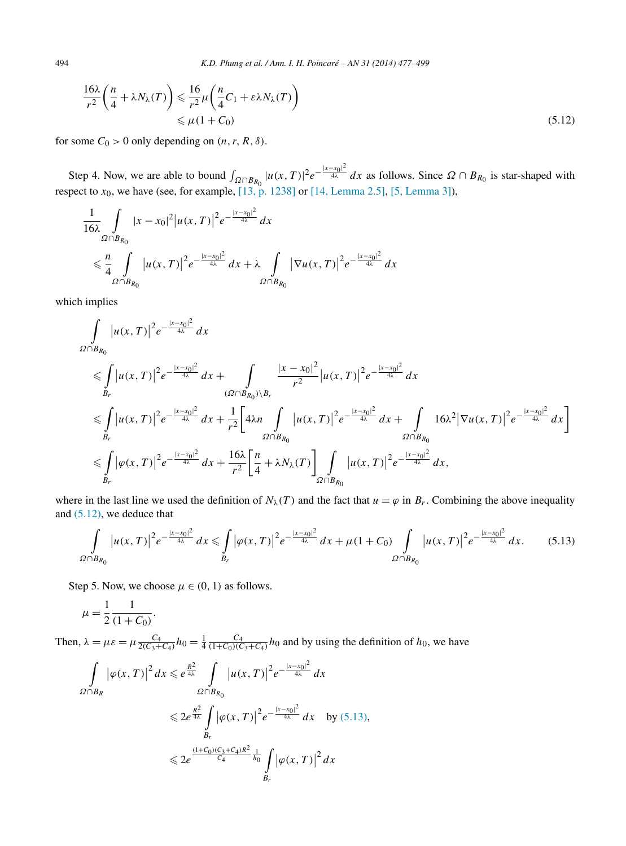494 *K.D. Phung et al. / Ann. I. H. Poincaré – AN 31 (2014) 477–499*

$$
\frac{16\lambda}{r^2} \left(\frac{n}{4} + \lambda N_{\lambda}(T)\right) \leq \frac{16}{r^2} \mu \left(\frac{n}{4} C_1 + \varepsilon \lambda N_{\lambda}(T)\right)
$$
  

$$
\leq \mu (1 + C_0)
$$
 (5.12)

for some  $C_0 > 0$  only depending on  $(n, r, R, \delta)$ .

Step 4. Now, we are able to bound  $\int_{\Omega \cap B_{R_0}} |u(x,T)|^2 e^{-\frac{|x-x_0|^2}{4\lambda}} dx$  as follows. Since  $\Omega \cap B_{R_0}$  is star-shaped with respect to *x*0, we have (see, for example, [\[13, p. 1238\]](#page-21-0) or [\[14, Lemma 2.5\],](#page-21-0) [\[5, Lemma 3\]\)](#page-21-0),

$$
\frac{1}{16\lambda} \int_{\Omega \cap B_{R_0}} |x - x_0|^2 |u(x, T)|^2 e^{-\frac{|x - x_0|^2}{4\lambda}} dx
$$
  

$$
\leq \frac{n}{4} \int_{\Omega \cap B_{R_0}} |u(x, T)|^2 e^{-\frac{|x - x_0|^2}{4\lambda}} dx + \lambda \int_{\Omega \cap B_{R_0}} |\nabla u(x, T)|^2 e^{-\frac{|x - x_0|^2}{4\lambda}} dx
$$

which implies

$$
\int_{\Omega\cap B_{R_0}} |u(x,T)|^2 e^{-\frac{|x-x_0|^2}{4\lambda}} dx
$$
\n
$$
\leq \int_{B_r} |u(x,T)|^2 e^{-\frac{|x-x_0|^2}{4\lambda}} dx + \int_{(\Omega\cap B_{R_0})\setminus B_r} \frac{|x-x_0|^2}{r^2} |u(x,T)|^2 e^{-\frac{|x-x_0|^2}{4\lambda}} dx
$$
\n
$$
\leq \int_{B_r} |u(x,T)|^2 e^{-\frac{|x-x_0|^2}{4\lambda}} dx + \frac{1}{r^2} \Big[ 4\lambda n \int_{\Omega\cap B_{R_0}} |u(x,T)|^2 e^{-\frac{|x-x_0|^2}{4\lambda}} dx + \int_{\Omega\cap B_{R_0}} 16\lambda^2 |\nabla u(x,T)|^2 e^{-\frac{|x-x_0|^2}{4\lambda}} dx \Big]
$$
\n
$$
\leq \int_{B_r} |\varphi(x,T)|^2 e^{-\frac{|x-x_0|^2}{4\lambda}} dx + \frac{16\lambda}{r^2} \Big[ \frac{n}{4} + \lambda N_\lambda(T) \Big]_{\Omega\cap B_{R_0}} |u(x,T)|^2 e^{-\frac{|x-x_0|^2}{4\lambda}} dx,
$$

where in the last line we used the definition of  $N_\lambda(T)$  and the fact that  $u = \varphi$  in  $B_r$ . Combining the above inequality and (5.12), we deduce that

$$
\int_{\Omega \cap B_{R_0}} |u(x,T)|^2 e^{-\frac{|x-x_0|^2}{4\lambda}} dx \leq \int_{B_r} |\varphi(x,T)|^2 e^{-\frac{|x-x_0|^2}{4\lambda}} dx + \mu(1+C_0) \int_{\Omega \cap B_{R_0}} |u(x,T)|^2 e^{-\frac{|x-x_0|^2}{4\lambda}} dx.
$$
 (5.13)

Step 5. Now, we choose  $\mu \in (0, 1)$  as follows.

*.*

$$
\mu = \frac{1}{2} \frac{1}{(1 + C_0)}
$$

Then,  $\lambda = \mu \varepsilon = \mu \frac{C_4}{2(C_3 + C_4)} h_0 = \frac{1}{4} \frac{C_4}{(1 + C_0)(C_3 + C_4)} h_0$  and by using the definition of  $h_0$ , we have

$$
\int_{\Omega \cap B_R} |\varphi(x, T)|^2 dx \leq e^{\frac{R^2}{4\lambda}} \int_{\Omega \cap B_{R_0}} |u(x, T)|^2 e^{-\frac{|x - x_0|^2}{4\lambda}} dx
$$
  

$$
\leq 2e^{\frac{R^2}{4\lambda}} \int_{B_r} |\varphi(x, T)|^2 e^{-\frac{|x - x_0|^2}{4\lambda}} dx \text{ by (5.13)},
$$
  

$$
\leq 2e^{\frac{(1 + C_0)(C_3 + C_4)R^2}{C_4} \frac{1}{h_0}} \int_{B_r} |\varphi(x, T)|^2 dx
$$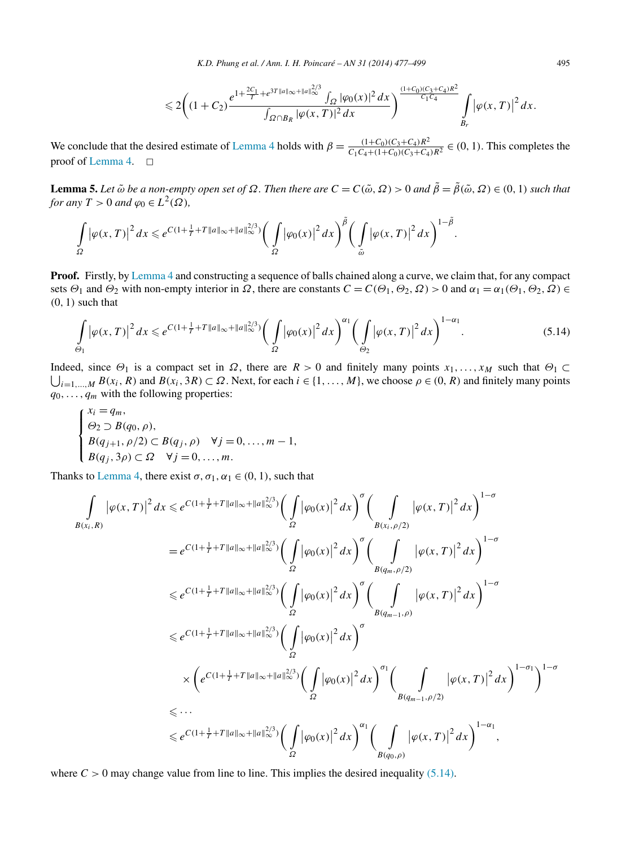$$
\leq 2\bigg((1+C_2)\frac{e^{1+\frac{2C_1}{T}+e^{3T\|a\|\infty+\|a\|_{\infty}^{2/3}}\int_{\Omega}|\varphi_0(x)|^2 dx}{\int_{\Omega\cap B_R}|\varphi(x,T)|^2 dx}\bigg)^{\frac{(1+C_0)(C_3+C_4)R^2}{C_1C_4}}\int\limits_{B_r}|\varphi(x,T)|^2 dx.
$$

<span id="page-18-0"></span>We conclude that the desired estimate of [Lemma 4](#page-13-0) holds with  $\beta = \frac{(1+C_0)(C_3+C_4)R^2}{C_1C_4+(1+C_0)(C_3+C_4)R^2} \in (0, 1)$ . This completes the proof of [Lemma 4.](#page-13-0)  $\Box$ 

**Lemma 5.** Let  $\tilde{\omega}$  be a non-empty open set of  $\Omega$ . Then there are  $C = C(\tilde{\omega}, \Omega) > 0$  and  $\tilde{\beta} = \tilde{\beta}(\tilde{\omega}, \Omega) \in (0, 1)$  such that *for any*  $T > 0$  *and*  $\varphi_0 \in L^2(\Omega)$ ,

$$
\int_{\Omega} |\varphi(x,T)|^2 dx \leqslant e^{C(1+\frac{1}{T}+T||a||_{\infty}+||a||_{\infty}^{2/3})} \bigg(\int_{\Omega} |\varphi_0(x)|^2 dx\bigg)^{\tilde{\beta}} \bigg(\int_{\tilde{\omega}} |\varphi(x,T)|^2 dx\bigg)^{1-\tilde{\beta}}.
$$

**Proof.** Firstly, by [Lemma 4](#page-13-0) and constructing a sequence of balls chained along a curve, we claim that, for any compact sets *Θ*<sup>1</sup> and *Θ*<sup>2</sup> with non-empty interior in *Ω*, there are constants *C* = *C(Θ*1*,Θ*2*,Ω)>* 0 and *α*<sup>1</sup> = *α*1*(Θ*1*,Θ*2*,Ω)* ∈ *(*0*,* 1*)* such that

$$
\int_{\Theta_1} |\varphi(x,T)|^2 dx \leq e^{C(1+\frac{1}{T}+T||a||_{\infty}+||a||_{\infty}^{2/3})} \bigg(\int_{\Omega} |\varphi_0(x)|^2 dx\bigg)^{\alpha_1} \bigg(\int_{\Theta_2} |\varphi(x,T)|^2 dx\bigg)^{1-\alpha_1}.
$$
\n(5.14)

 $\bigcup_{i=1,\dots,M} B(x_i, R)$  and  $B(x_i, 3R) \subset \Omega$ . Next, for each  $i \in \{1,\dots,M\}$ , we choose  $\rho \in (0, R)$  and finitely many points Indeed, since  $\Theta_1$  is a compact set in  $\Omega$ , there are  $R > 0$  and finitely many points  $x_1, \ldots, x_M$  such that  $\Theta_1 \subset$  $q_0, \ldots, q_m$  with the following properties:

$$
\begin{cases}\n x_i = q_m, \\
 \Theta_2 \supset B(q_0, \rho), \\
 B(q_{j+1}, \rho/2) \subset B(q_j, \rho) \quad \forall j = 0, \dots, m-1, \\
 B(q_j, 3\rho) \subset \Omega \quad \forall j = 0, \dots, m.\n\end{cases}
$$

Thanks to [Lemma](#page-13-0) 4, there exist  $\sigma$ ,  $\sigma$ <sub>1</sub>,  $\alpha$ <sub>1</sub>  $\in$  (0, 1), such that

$$
\int_{B(x_i,R)} |\varphi(x,T)|^2 dx \leq e^{C(1+\frac{1}{T}+T||a||_{\infty}+||a||_{\infty}^{2/3})} \Big( \int_{\Omega} |\varphi_0(x)|^2 dx \Big)^{\sigma} \Big( \int_{B(x_i,\rho/2)} |\varphi(x,T)|^2 dx \Big)^{1-\sigma} \n= e^{C(1+\frac{1}{T}+T||a||_{\infty}+||a||_{\infty}^{2/3})} \Big( \int_{\Omega} |\varphi_0(x)|^2 dx \Big)^{\sigma} \Big( \int_{B(q_m,\rho/2)} |\varphi(x,T)|^2 dx \Big)^{1-\sigma} \n\leq e^{C(1+\frac{1}{T}+T||a||_{\infty}+||a||_{\infty}^{2/3})} \Big( \int_{\Omega} |\varphi_0(x)|^2 dx \Big)^{\sigma} \Big( \int_{B(q_{m-1},\rho)} |\varphi(x,T)|^2 dx \Big)^{1-\sigma} \n\leq e^{C(1+\frac{1}{T}+T||a||_{\infty}+||a||_{\infty}^{2/3})} \Big( \int_{\Omega} |\varphi_0(x)|^2 dx \Big)^{\sigma} \n\times \Big( e^{C(1+\frac{1}{T}+T||a||_{\infty}+||a||_{\infty}^{2/3})} \Big( \int_{\Omega} |\varphi_0(x)|^2 dx \Big)^{\sigma_1} \Big( \int_{B(q_{m-1},\rho/2)} |\varphi(x,T)|^2 dx \Big)^{1-\sigma_1} \Big)^{1-\sigma} \n\leq ... \n\leq e^{C(1+\frac{1}{T}+T||a||_{\infty}+||a||_{\infty}^{2/3})} \Big( \int_{\Omega} |\varphi_0(x)|^2 dx \Big)^{\sigma_1} \Big( \int_{B(q_0,\rho)} |\varphi(x,T)|^2 dx \Big)^{1-\alpha_1},
$$

where  $C > 0$  may change value from line to line. This implies the desired inequality (5.14).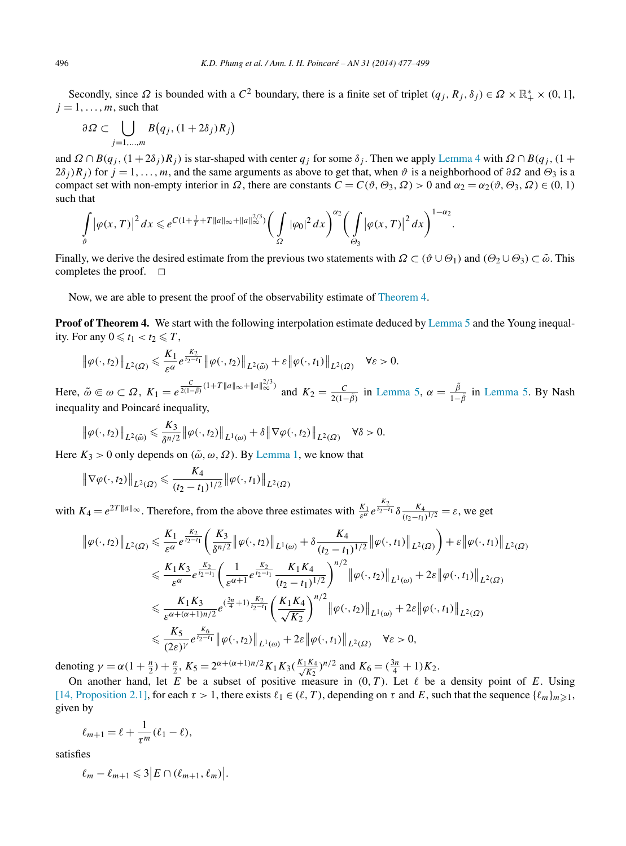Secondly, since  $\Omega$  is bounded with a  $C^2$  boundary, there is a finite set of triplet  $(q_j, R_j, \delta_j) \in \Omega \times \mathbb{R}_+^* \times (0, 1]$ ,  $j = 1, \ldots, m$ , such that

$$
\partial\Omega \subset \bigcup_{j=1,\dots,m} B(q_j, (1+2\delta_j)R_j)
$$

and  $\Omega \cap B(q_i, (1 + 2\delta_i)R_i)$  is star-shaped with center  $q_i$  for some  $\delta_i$ . Then we apply [Lemma 4](#page-13-0) with  $\Omega \cap B(q_i, (1 +$  $2\delta_j$  $R_j$  for  $j = 1, \ldots, m$ , and the same arguments as above to get that, when  $\vartheta$  is a neighborhood of  $\partial \Omega$  and  $\Theta_3$  is a compact set with non-empty interior in *Ω*, there are constants  $C = C(\vartheta, \Theta_3, \Omega) > 0$  and  $\alpha_2 = \alpha_2(\vartheta, \Theta_3, \Omega) \in (0, 1)$ such that

$$
\int_{\vartheta} \left| \varphi(x,T) \right|^2 dx \leqslant e^{C(1+\frac{1}{T}+T\|a\|_{\infty}+\|a\|_{\infty}^{2/3})} \bigg(\int\limits_{\Omega} |\varphi_0|^2 dx \bigg)^{\alpha_2} \bigg(\int\limits_{\Theta_3} \left| \varphi(x,T) \right|^2 dx \bigg)^{1-\alpha_2}.
$$

Finally, we derive the desired estimate from the previous two statements with  $\Omega \subset (\vartheta \cup \Theta_1)$  and  $(\Theta_2 \cup \Theta_3) \subset \tilde{\omega}$ . This completes the proof.  $\square$ 

Now, we are able to present the proof of the observability estimate of [Theorem](#page-3-0) 4.

**Proof of Theorem 4.** We start with the following interpolation estimate deduced by [Lemma 5](#page-18-0) and the Young inequality. For any  $0 \leq t_1 < t_2 \leq T$ ,

$$
\left\|\varphi(\cdot,t_2)\right\|_{L^2(\Omega)} \leqslant \frac{K_1}{\varepsilon^{\alpha}} e^{\frac{K_2}{t_2-t_1}} \left\|\varphi(\cdot,t_2)\right\|_{L^2(\tilde{\omega})} + \varepsilon \left\|\varphi(\cdot,t_1)\right\|_{L^2(\Omega)} \quad \forall \varepsilon > 0.
$$

Here,  $\tilde{\omega} \in \omega \subset \Omega$ ,  $K_1 = e^{\frac{C}{2(1-\tilde{\beta})}(1+T||a||_{\infty}+||a||_{\infty}^{2/3})}$  and  $K_2 = \frac{C}{2(1-\tilde{\beta})}$  in [Lemma 5,](#page-18-0)  $\alpha = \frac{\tilde{\beta}}{1-\tilde{\beta}}$  in [Lemma 5.](#page-18-0) By Nash inequality and Poincaré inequality,

$$
\|\varphi(\cdot,t_2)\|_{L^2(\tilde{\omega})} \leq \frac{K_3}{\delta^{n/2}} \|\varphi(\cdot,t_2)\|_{L^1(\omega)} + \delta \|\nabla\varphi(\cdot,t_2)\|_{L^2(\Omega)} \quad \forall \delta > 0.
$$

Here  $K_3 > 0$  only depends on  $(\tilde{\omega}, \omega, \Omega)$ . By [Lemma 1,](#page-9-0) we know that

$$
\left\|\nabla\varphi(\cdot,t_2)\right\|_{L^2(\Omega)} \leqslant \frac{K_4}{(t_2-t_1)^{1/2}}\left\|\varphi(\cdot,t_1)\right\|_{L^2(\Omega)}
$$

with  $K_4 = e^{2T||a||_{\infty}}$ . Therefore, from the above three estimates with  $\frac{K_1}{\varepsilon^{\alpha}} e^{\frac{K_2}{t_2 - t_1}} \delta \frac{K_4}{(t_2 - t_1)^{1/2}} = \varepsilon$ , we get

$$
\begin{split}\n\|\varphi(\cdot,t_{2})\|_{L^{2}(\Omega)} &\leq \frac{K_{1}}{\varepsilon^{\alpha}}e^{\frac{K_{2}}{t_{2}-t_{1}}}\left(\frac{K_{3}}{\delta^{n/2}}\|\varphi(\cdot,t_{2})\|_{L^{1}(\omega)} + \delta\frac{K_{4}}{(t_{2}-t_{1})^{1/2}}\|\varphi(\cdot,t_{1})\|_{L^{2}(\Omega)}\right) + \varepsilon\|\varphi(\cdot,t_{1})\|_{L^{2}(\Omega)} \\
&\leq \frac{K_{1}K_{3}}{\varepsilon^{\alpha}}e^{\frac{K_{2}}{t_{2}-t_{1}}}\left(\frac{1}{\varepsilon^{\alpha+1}}e^{\frac{K_{2}}{t_{2}-t_{1}}}\frac{K_{1}K_{4}}{(t_{2}-t_{1})^{1/2}}\right)^{n/2}\|\varphi(\cdot,t_{2})\|_{L^{1}(\omega)} + 2\varepsilon\|\varphi(\cdot,t_{1})\|_{L^{2}(\Omega)} \\
&\leq \frac{K_{1}K_{3}}{\varepsilon^{\alpha+(\alpha+1)n/2}}e^{(\frac{3n}{4}+1)\frac{K_{2}}{t_{2}-t_{1}}}\left(\frac{K_{1}K_{4}}{\sqrt{K_{2}}}\right)^{n/2}\|\varphi(\cdot,t_{2})\|_{L^{1}(\omega)} + 2\varepsilon\|\varphi(\cdot,t_{1})\|_{L^{2}(\Omega)} \\
&\leq \frac{K_{5}}{(2\varepsilon)^{\gamma}}e^{\frac{K_{6}}{t_{2}-t_{1}}}\|\varphi(\cdot,t_{2})\|_{L^{1}(\omega)} + 2\varepsilon\|\varphi(\cdot,t_{1})\|_{L^{2}(\Omega)} \quad \forall \varepsilon > 0,\n\end{split}
$$

denoting  $\gamma = \alpha(1 + \frac{n}{2}) + \frac{n}{2}$ ,  $K_5 = 2^{\alpha + (\alpha + 1)n/2} K_1 K_3 \left(\frac{K_1 K_4}{\sqrt{K_2}}\right)^{n/2}$  and  $K_6 = (\frac{3n}{4} + 1)K_2$ .

On another hand, let  $E$  be a subset of positive measure in  $(0, T)$ . Let  $\ell$  be a density point of  $E$ . Using [\[14, Proposition 2.1\],](#page-21-0) for each  $\tau > 1$ , there exists  $\ell_1 \in (\ell, T)$ , depending on  $\tau$  and  $E$ , such that the sequence  $\{\ell_m\}_{m \geq 1}$ , given by

$$
\ell_{m+1} = \ell + \frac{1}{\tau^m} (\ell_1 - \ell),
$$

satisfies

$$
\ell_m - \ell_{m+1} \leqslant 3 \big| E \cap (\ell_{m+1}, \ell_m) \big|.
$$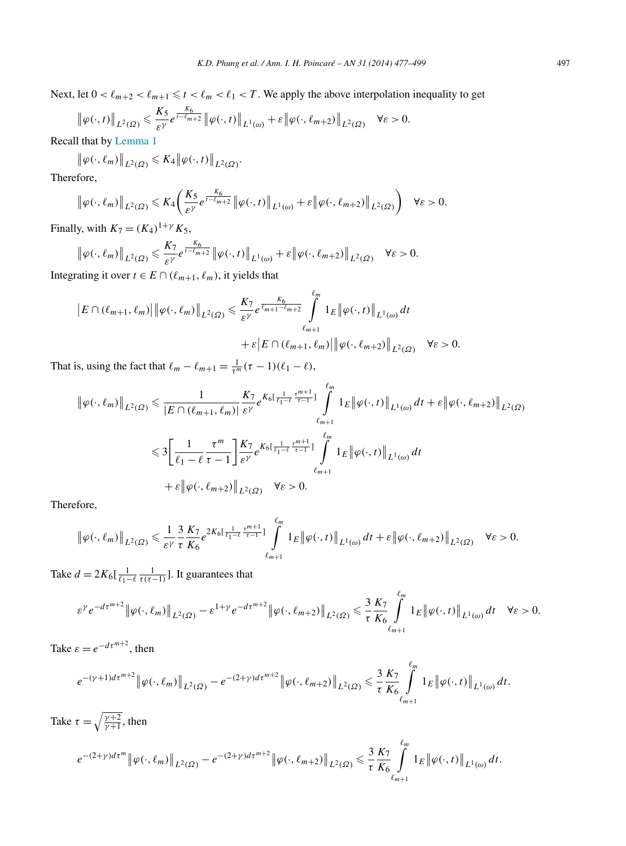Next, let  $0 < \ell_{m+2} < \ell_{m+1} \leq t < \ell_m < \ell_1 < T$ . We apply the above interpolation inequality to get

$$
\|\varphi(\cdot,t)\|_{L^2(\Omega)} \leq \frac{K_5}{\varepsilon^{\gamma}} e^{\frac{K_6}{t-t_{m+2}}}\|\varphi(\cdot,t)\|_{L^1(\omega)} + \varepsilon \|\varphi(\cdot,\ell_{m+2})\|_{L^2(\Omega)} \quad \forall \varepsilon > 0.
$$

Recall that by [Lemma 1](#page-9-0)

$$
\big\|\varphi(\cdot,\ell_m)\big\|_{L^2(\Omega)} \leqslant K_4 \big\|\varphi(\cdot,t)\big\|_{L^2(\Omega)}.
$$

Therefore,

$$
\left\|\varphi(\cdot,\ell_m)\right\|_{L^2(\Omega)} \leqslant K_4\left(\frac{K_5}{\varepsilon^{\gamma}}e^{\frac{K_6}{t-\ell_{m+2}}}\left\|\varphi(\cdot,t)\right\|_{L^1(\omega)} + \varepsilon\left\|\varphi(\cdot,\ell_{m+2})\right\|_{L^2(\Omega)}\right) \quad \forall \varepsilon > 0.
$$

Finally, with  $K_7 = (K_4)^{1+\gamma} K_5$ ,

$$
\|\varphi(\cdot,\ell_m)\|_{L^2(\Omega)} \leq \frac{K_7}{\varepsilon^{\gamma}} e^{\frac{K_6}{t-\ell_{m+2}}}\|\varphi(\cdot,t)\|_{L^1(\omega)} + \varepsilon \|\varphi(\cdot,\ell_{m+2})\|_{L^2(\Omega)} \quad \forall \varepsilon > 0.
$$

Integrating it over  $t \in E \cap (\ell_{m+1}, \ell_m)$ , it yields that

$$
\|E \cap (\ell_{m+1}, \ell_m)\| \|\varphi(\cdot, \ell_m)\|_{L^2(\Omega)} \leq \frac{K_7}{\varepsilon^{\gamma}} e^{\frac{K_6}{\ell_{m+1} - \ell_{m+2}}} \int_{\ell_{m+1}}^{\ell_m} 1_E \|\varphi(\cdot, t)\|_{L^1(\omega)} dt
$$
  
 
$$
+ \varepsilon |E \cap (\ell_{m+1}, \ell_m)\| \|\varphi(\cdot, \ell_{m+2})\|_{L^2(\Omega)} \quad \forall \varepsilon > 0.
$$

That is, using the fact that  $\ell_m - \ell_{m+1} = \frac{1}{\tau^m} (\tau - 1)(\ell_1 - \ell),$ 

$$
\|\varphi(\cdot,\ell_m)\|_{L^2(\Omega)} \leq \frac{1}{|E \cap (\ell_{m+1},\ell_m)|} \frac{K_7}{\varepsilon^{\gamma}} e^{K_6[\frac{1}{\ell_1-\ell}\frac{\tau^{m+1}}{\tau-1}]} \int_{\ell_{m+1}}^{\ell_m} 1_E \|\varphi(\cdot,t)\|_{L^1(\omega)} dt + \varepsilon \|\varphi(\cdot,\ell_{m+2})\|_{L^2(\Omega)}
$$
  

$$
\leq 3 \Biggl[ \frac{1}{\ell_1-\ell} \frac{\tau^m}{\tau-1} \Biggr] \frac{K_7}{\varepsilon^{\gamma}} e^{K_6[\frac{1}{\ell_1-\ell}\frac{\tau^{m+1}}{\tau-1}]} \int_{\ell_{m+1}}^{\ell_m} 1_E \|\varphi(\cdot,t)\|_{L^1(\omega)} dt
$$
  

$$
+ \varepsilon \|\varphi(\cdot,\ell_{m+2})\|_{L^2(\Omega)} \quad \forall \varepsilon > 0.
$$

Therefore,

$$
\|\varphi(\cdot,\ell_m)\|_{L^2(\Omega)} \leq \frac{1}{\varepsilon^{\gamma}} \frac{3}{\tau} \frac{K_7}{K_6} e^{2K_6\left[\frac{1}{\ell_1-\ell} \frac{\tau^{m+1}}{\tau-1}\right]} \int\limits_{\ell_{m+1}}^{\ell_m} 1_E \|\varphi(\cdot,t)\|_{L^1(\omega)} dt + \varepsilon \|\varphi(\cdot,\ell_{m+2})\|_{L^2(\Omega)} \quad \forall \varepsilon > 0.
$$

Take  $d = 2K_6\left[\frac{1}{\ell_1 - \ell} \frac{1}{\tau(\tau - 1)}\right]$ . It guarantees that

$$
\varepsilon^{\gamma} e^{-d\tau^{m+2}} \left\| \varphi(\cdot,\ell_m) \right\|_{L^2(\Omega)} - \varepsilon^{1+\gamma} e^{-d\tau^{m+2}} \left\| \varphi(\cdot,\ell_{m+2}) \right\|_{L^2(\Omega)} \leq \frac{3}{\tau} \frac{K_7}{K_6} \int_{\ell_{m+1}}^{\ell_m} 1_E \left\| \varphi(\cdot,t) \right\|_{L^1(\omega)} dt \quad \forall \varepsilon > 0.
$$

 *m*

Take  $\varepsilon = e^{-d\tau^{m+2}}$ , then

$$
e^{-(\gamma+1)d\tau^{m+2}}\|\varphi(\cdot,\ell_m)\|_{L^2(\Omega)}-e^{-(2+\gamma)d\tau^{m+2}}\|\varphi(\cdot,\ell_{m+2})\|_{L^2(\Omega)}\leq \frac{3}{\tau}\frac{K_7}{K_6}\int\limits_{\ell_{m+1}}^{\ell_m}1_E\|\varphi(\cdot,t)\|_{L^1(\omega)}\,dt.
$$

Take  $\tau = \sqrt{\frac{\gamma + 2}{\gamma + 1}}$ , then  $e^{-(2+\gamma)d\tau^{m}} \|\varphi(\cdot,\ell_{m})\|_{L^{2}(\Omega)} - e^{-(2+\gamma)d\tau^{m+2}} \|\varphi(\cdot,\ell_{m+2})\|_{L^{2}(\Omega)} \leq \frac{3}{\tau}$ *τ K*<sup>7</sup> *K*<sup>6</sup>  $\frac{\ell_m}{\Gamma}$  $\ell_{m+1}$  $1_E \|\varphi(\cdot,t)\|_{L^1(\omega)} dt.$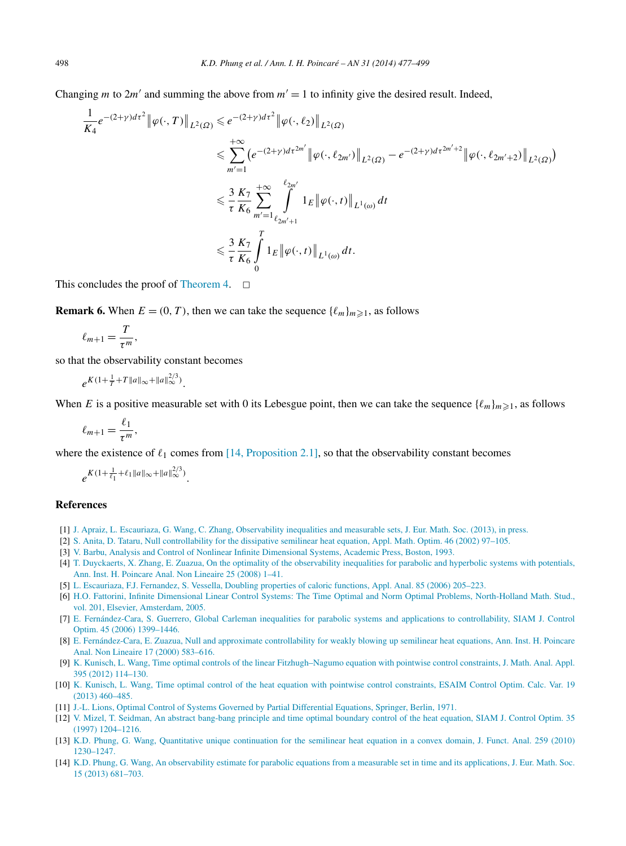<span id="page-21-0"></span>Changing *m* to  $2m'$  and summing the above from  $m' = 1$  to infinity give the desired result. Indeed,

$$
\frac{1}{K_4}e^{-(2+\gamma)d\tau^2} \|\varphi(\cdot,T)\|_{L^2(\Omega)} \le e^{-(2+\gamma)d\tau^2} \|\varphi(\cdot,\ell_2)\|_{L^2(\Omega)}
$$
\n
$$
\le \sum_{m'=1}^{+\infty} \left(e^{-(2+\gamma)d\tau^{2m'}} \|\varphi(\cdot,\ell_{2m'})\|_{L^2(\Omega)} - e^{-(2+\gamma)d\tau^{2m'+2}} \|\varphi(\cdot,\ell_{2m'+2})\|_{L^2(\Omega)}\right)
$$
\n
$$
\le \frac{3}{\tau} \frac{K_7}{K_6} \sum_{m'=1}^{+\infty} \int_{\ell_{2m'+1}}^{\ell_{2m'}} 1_E \|\varphi(\cdot,t)\|_{L^1(\omega)} dt
$$
\n
$$
\le \frac{3}{\tau} \frac{K_7}{K_6} \int_0^T 1_E \|\varphi(\cdot,t)\|_{L^1(\omega)} dt.
$$

This concludes the proof of [Theorem 4.](#page-3-0)  $\Box$ 

**Remark 6.** When  $E = (0, T)$ , then we can take the sequence  $\{\ell_m\}_{m \geq 1}$ , as follows

$$
\ell_{m+1}=\frac{T}{\tau^m},
$$

so that the observability constant becomes

$$
e^{K(1+\frac{1}{T}+T\|a\|_{\infty}+\|a\|_{\infty}^{2/3})}.
$$

When *E* is a positive measurable set with 0 its Lebesgue point, then we can take the sequence  $\{\ell_m\}_{m\geq 1}$ , as follows

$$
\ell_{m+1} = \frac{\ell_1}{\tau^m},
$$

where the existence of  $\ell_1$  comes from [14, Proposition 2.1], so that the observability constant becomes

$$
e^{K(1+\frac{1}{\ell_1}+\ell_1\|a\|_{\infty}+\|a\|_{\infty}^{2/3})}.
$$

#### **References**

- [1] [J. Apraiz, L. Escauriaza, G. Wang, C. Zhang, Observability inequalities and measurable sets, J. Eur. Math. Soc. \(2013\), in press.](http://refhub.elsevier.com/S0294-1449(13)00067-X/bib4145575As1)
- [2] S. [Anita, D. Tataru, Null controllability for the dissipative semilinear heat equation, Appl. Math. Optim. 46 \(2002\) 97–105.](http://refhub.elsevier.com/S0294-1449(13)00067-X/bib4154s1)
- [3] [V. Barbu, Analysis and Control of Nonlinear Infinite Dimensional Systems, Academic Press, Boston, 1993.](http://refhub.elsevier.com/S0294-1449(13)00067-X/bib42s1)
- [4] [T. Duyckaerts, X. Zhang, E. Zuazua, On the optimality of the observability inequalities for parabolic and hyperbolic systems with potentials,](http://refhub.elsevier.com/S0294-1449(13)00067-X/bib445A5As1) [Ann. Inst. H. Poincare Anal. Non Lineaire 25 \(2008\) 1–41.](http://refhub.elsevier.com/S0294-1449(13)00067-X/bib445A5As1)
- [5] L. [Escauriaza, F.J. Fernandez, S. Vessella, Doubling properties of caloric functions, Appl. Anal. 85 \(2006\) 205–223.](http://refhub.elsevier.com/S0294-1449(13)00067-X/bib454656s1)
- [6] H.O. [Fattorini, Infinite Dimensional Linear Control Systems: The Time Optimal and Norm Optimal Problems, North-Holland Math. Stud.,](http://refhub.elsevier.com/S0294-1449(13)00067-X/bib46s1) [vol. 201, Elsevier, Amsterdam, 2005.](http://refhub.elsevier.com/S0294-1449(13)00067-X/bib46s1)
- [7] E. [Fernández-Cara, S. Guerrero, Global Carleman inequalities for parabolic systems and applications to controllability, SIAM J. Control](http://refhub.elsevier.com/S0294-1449(13)00067-X/bib4647s1) [Optim. 45 \(2006\) 1399–1446.](http://refhub.elsevier.com/S0294-1449(13)00067-X/bib4647s1)
- [8] E. [Fernández-Cara, E. Zuazua, Null and approximate controllability for weakly blowing up semilinear heat equations, Ann. Inst. H. Poincare](http://refhub.elsevier.com/S0294-1449(13)00067-X/bib465As1) [Anal. Non Lineaire 17 \(2000\) 583–616.](http://refhub.elsevier.com/S0294-1449(13)00067-X/bib465As1)
- [9] K. [Kunisch, L. Wang, Time optimal controls of the linear Fitzhugh–Nagumo equation with pointwise control constraints, J. Math. Anal. Appl.](http://refhub.elsevier.com/S0294-1449(13)00067-X/bib4B5731s1) [395 \(2012\) 114–130.](http://refhub.elsevier.com/S0294-1449(13)00067-X/bib4B5731s1)
- [10] K. [Kunisch, L. Wang, Time optimal control of the heat equation with pointwise control constraints, ESAIM Control Optim. Calc. Var. 19](http://refhub.elsevier.com/S0294-1449(13)00067-X/bib4B5732s1) [\(2013\) 460–485.](http://refhub.elsevier.com/S0294-1449(13)00067-X/bib4B5732s1)
- [11] J.-L. [Lions, Optimal Control of Systems Governed by Partial Differential Equations, Springer, Berlin, 1971.](http://refhub.elsevier.com/S0294-1449(13)00067-X/bib4Cs1)
- [12] [V. Mizel, T. Seidman, An abstract bang-bang principle and time optimal boundary control of the heat equation, SIAM J. Control Optim. 35](http://refhub.elsevier.com/S0294-1449(13)00067-X/bib4D53s1) [\(1997\) 1204–1216.](http://refhub.elsevier.com/S0294-1449(13)00067-X/bib4D53s1)
- [13] K.D. [Phung, G. Wang, Quantitative unique continuation for the semilinear heat equation in a convex domain, J. Funct. Anal. 259 \(2010\)](http://refhub.elsevier.com/S0294-1449(13)00067-X/bib505731s1) [1230–1247.](http://refhub.elsevier.com/S0294-1449(13)00067-X/bib505731s1)
- [14] K.D. [Phung, G. Wang, An observability estimate for parabolic equations from a measurable set in time and its applications, J. Eur. Math. Soc.](http://refhub.elsevier.com/S0294-1449(13)00067-X/bib505732s1) [15 \(2013\) 681–703.](http://refhub.elsevier.com/S0294-1449(13)00067-X/bib505732s1)

1